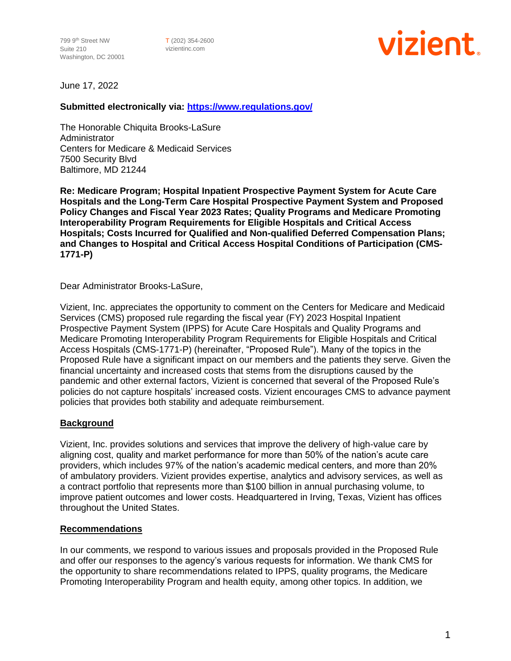T (202) 354-2600 vizientinc.com



June 17, 2022

# **Submitted electronically via:<https://www.regulations.gov/>**

The Honorable Chiquita Brooks-LaSure Administrator Centers for Medicare & Medicaid Services 7500 Security Blvd Baltimore, MD 21244

**Re: Medicare Program; Hospital Inpatient Prospective Payment System for Acute Care Hospitals and the Long-Term Care Hospital Prospective Payment System and Proposed Policy Changes and Fiscal Year 2023 Rates; Quality Programs and Medicare Promoting Interoperability Program Requirements for Eligible Hospitals and Critical Access Hospitals; Costs Incurred for Qualified and Non-qualified Deferred Compensation Plans; and Changes to Hospital and Critical Access Hospital Conditions of Participation (CMS-1771-P)**

Dear Administrator Brooks-LaSure,

Vizient, Inc. appreciates the opportunity to comment on the Centers for Medicare and Medicaid Services (CMS) proposed rule regarding the fiscal year (FY) 2023 Hospital Inpatient Prospective Payment System (IPPS) for Acute Care Hospitals and Quality Programs and Medicare Promoting Interoperability Program Requirements for Eligible Hospitals and Critical Access Hospitals (CMS-1771-P) (hereinafter, "Proposed Rule"). Many of the topics in the Proposed Rule have a significant impact on our members and the patients they serve. Given the financial uncertainty and increased costs that stems from the disruptions caused by the pandemic and other external factors, Vizient is concerned that several of the Proposed Rule's policies do not capture hospitals' increased costs. Vizient encourages CMS to advance payment policies that provides both stability and adequate reimbursement.

# **Background**

Vizient, Inc. provides solutions and services that improve the delivery of high-value care by aligning cost, quality and market performance for more than 50% of the nation's acute care providers, which includes 97% of the nation's academic medical centers, and more than 20% of ambulatory providers. Vizient provides expertise, analytics and advisory services, as well as a contract portfolio that represents more than \$100 billion in annual purchasing volume, to improve patient outcomes and lower costs. Headquartered in Irving, Texas, Vizient has offices throughout the United States.

# **Recommendations**

In our comments, we respond to various issues and proposals provided in the Proposed Rule and offer our responses to the agency's various requests for information. We thank CMS for the opportunity to share recommendations related to IPPS, quality programs, the Medicare Promoting Interoperability Program and health equity, among other topics. In addition, we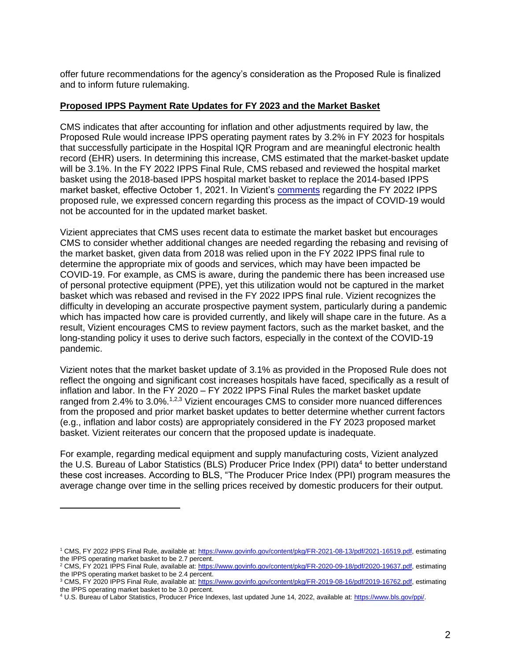offer future recommendations for the agency's consideration as the Proposed Rule is finalized and to inform future rulemaking.

# **Proposed IPPS Payment Rate Updates for FY 2023 and the Market Basket**

CMS indicates that after accounting for inflation and other adjustments required by law, the Proposed Rule would increase IPPS operating payment rates by 3.2% in FY 2023 for hospitals that successfully participate in the Hospital IQR Program and are meaningful electronic health record (EHR) users. In determining this increase, CMS estimated that the market-basket update will be 3.1%. In the FY 2022 IPPS Final Rule, CMS rebased and reviewed the hospital market basket using the 2018-based IPPS hospital market basket to replace the 2014-based IPPS market basket, effective October 1, 2021. In Vizient's [comments](https://www.vizientinc.com/-/media/documents/sitecorepublishingdocuments/public/aboutus/20210628_fy22_ipps_comments_vizient.pdf) regarding the FY 2022 IPPS proposed rule, we expressed concern regarding this process as the impact of COVID-19 would not be accounted for in the updated market basket.

Vizient appreciates that CMS uses recent data to estimate the market basket but encourages CMS to consider whether additional changes are needed regarding the rebasing and revising of the market basket, given data from 2018 was relied upon in the FY 2022 IPPS final rule to determine the appropriate mix of goods and services, which may have been impacted be COVID-19. For example, as CMS is aware, during the pandemic there has been increased use of personal protective equipment (PPE), yet this utilization would not be captured in the market basket which was rebased and revised in the FY 2022 IPPS final rule. Vizient recognizes the difficulty in developing an accurate prospective payment system, particularly during a pandemic which has impacted how care is provided currently, and likely will shape care in the future. As a result, Vizient encourages CMS to review payment factors, such as the market basket, and the long-standing policy it uses to derive such factors, especially in the context of the COVID-19 pandemic.

Vizient notes that the market basket update of 3.1% as provided in the Proposed Rule does not reflect the ongoing and significant cost increases hospitals have faced, specifically as a result of inflation and labor. In the FY 2020 – FY 2022 IPPS Final Rules the market basket update ranged from 2.4% to 3.0%.<sup>1,2,3</sup> Vizient encourages CMS to consider more nuanced differences from the proposed and prior market basket updates to better determine whether current factors (e.g., inflation and labor costs) are appropriately considered in the FY 2023 proposed market basket. Vizient reiterates our concern that the proposed update is inadequate.

For example, regarding medical equipment and supply manufacturing costs, Vizient analyzed the U.S. Bureau of Labor Statistics (BLS) Producer Price Index (PPI) data<sup>4</sup> to better understand these cost increases. According to BLS, "The Producer Price Index (PPI) program measures the average change over time in the selling prices received by domestic producers for their output.

<sup>1</sup> CMS, FY 2022 IPPS Final Rule, available at[: https://www.govinfo.gov/content/pkg/FR-2021-08-13/pdf/2021-16519.pdf,](https://www.govinfo.gov/content/pkg/FR-2021-08-13/pdf/2021-16519.pdf) estimating the IPPS operating market basket to be 2.7 percent.

<sup>2</sup> CMS, FY 2021 IPPS Final Rule, available at[: https://www.govinfo.gov/content/pkg/FR-2020-09-18/pdf/2020-19637.pdf,](https://www.govinfo.gov/content/pkg/FR-2020-09-18/pdf/2020-19637.pdf) estimating the IPPS operating market basket to be 2.4 percent.

<sup>&</sup>lt;sup>3</sup> CMS, FY 2020 IPPS Final Rule, available at: https://www.govinfo.gov/content/pkg/FR-2019-08-16/pdf/2019-16762.pdf. estimating the IPPS operating market basket to be 3.0 percent.

<sup>4</sup> U.S. Bureau of Labor Statistics, Producer Price Indexes, last updated June 14, 2022, available at[: https://www.bls.gov/ppi/.](https://www.bls.gov/ppi/)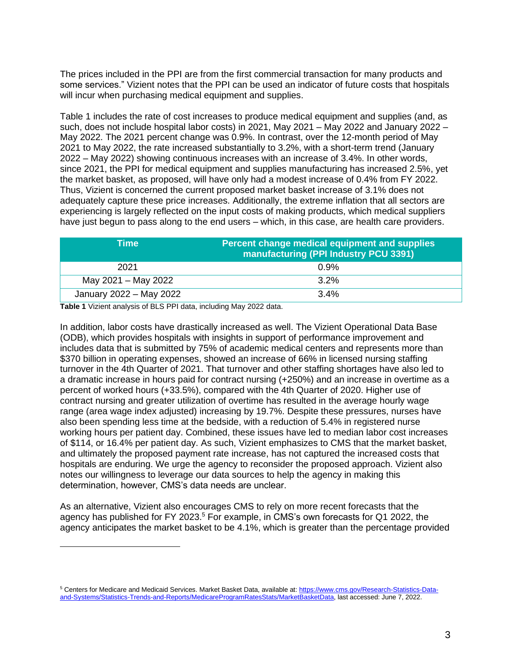The prices included in the PPI are from the first commercial transaction for many products and some services." Vizient notes that the PPI can be used an indicator of future costs that hospitals will incur when purchasing medical equipment and supplies.

Table 1 includes the rate of cost increases to produce medical equipment and supplies (and, as such, does not include hospital labor costs) in 2021, May 2021 – May 2022 and January 2022 – May 2022. The 2021 percent change was 0.9%. In contrast, over the 12-month period of May 2021 to May 2022, the rate increased substantially to 3.2%, with a short-term trend (January 2022 – May 2022) showing continuous increases with an increase of 3.4%. In other words, since 2021, the PPI for medical equipment and supplies manufacturing has increased 2.5%, yet the market basket, as proposed, will have only had a modest increase of 0.4% from FY 2022. Thus, Vizient is concerned the current proposed market basket increase of 3.1% does not adequately capture these price increases. Additionally, the extreme inflation that all sectors are experiencing is largely reflected on the input costs of making products, which medical suppliers have just begun to pass along to the end users – which, in this case, are health care providers.

| Time                    | Percent change medical equipment and supplies<br>manufacturing (PPI Industry PCU 3391) |
|-------------------------|----------------------------------------------------------------------------------------|
| 2021                    | 0.9%                                                                                   |
| May 2021 - May 2022     | $3.2\%$                                                                                |
| January 2022 - May 2022 | $3.4\%$                                                                                |

**Table 1** Vizient analysis of BLS PPI data, including May 2022 data.

<span id="page-2-0"></span>In addition, labor costs have drastically increased as well. The Vizient Operational Data Base (ODB), which provides hospitals with insights in support of performance improvement and includes data that is submitted by 75% of academic medical centers and represents more than \$370 billion in operating expenses, showed an increase of 66% in licensed nursing staffing turnover in the 4th Quarter of 2021. That turnover and other staffing shortages have also led to a dramatic increase in hours paid for contract nursing (+250%) and an increase in overtime as a percent of worked hours (+33.5%), compared with the 4th Quarter of 2020. Higher use of contract nursing and greater utilization of overtime has resulted in the average hourly wage range (area wage index adjusted) increasing by 19.7%. Despite these pressures, nurses have also been spending less time at the bedside, with a reduction of 5.4% in registered nurse working hours per patient day. Combined, these issues have led to median labor cost increases of \$114, or 16.4% per patient day. As such, Vizient emphasizes to CMS that the market basket, and ultimately the proposed payment rate increase, has not captured the increased costs that hospitals are enduring. We urge the agency to reconsider the proposed approach. Vizient also notes our willingness to leverage our data sources to help the agency in making this determination, however, CMS's data needs are unclear.

As an alternative, Vizient also encourages CMS to rely on more recent forecasts that the agency has published for FY 2023.<sup>5</sup> For example, in CMS's own forecasts for Q1 2022, the agency anticipates the market basket to be 4.1%, which is greater than the percentage provided

<sup>&</sup>lt;sup>5</sup> Centers for Medicare and Medicaid Services. Market Basket Data, available at[: https://www.cms.gov/Research-Statistics-Data](https://www.cms.gov/Research-Statistics-Data-and-Systems/Statistics-Trends-and-Reports/MedicareProgramRatesStats/MarketBasketData)[and-Systems/Statistics-Trends-and-Reports/MedicareProgramRatesStats/MarketBasketData,](https://www.cms.gov/Research-Statistics-Data-and-Systems/Statistics-Trends-and-Reports/MedicareProgramRatesStats/MarketBasketData) last accessed: June 7, 2022.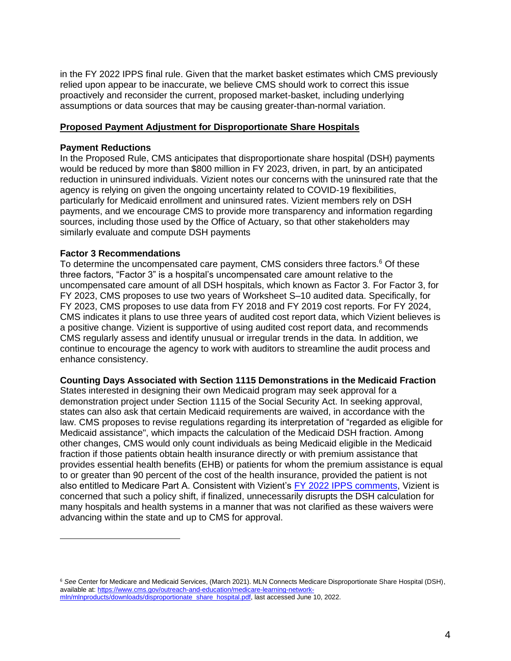in the FY 2022 IPPS final rule. Given that the market basket estimates which CMS previously relied upon appear to be inaccurate, we believe CMS should work to correct this issue proactively and reconsider the current, proposed market-basket, including underlying assumptions or data sources that may be causing greater-than-normal variation.

# **Proposed Payment Adjustment for Disproportionate Share Hospitals**

# **Payment Reductions**

In the Proposed Rule, CMS anticipates that disproportionate share hospital (DSH) payments would be reduced by more than \$800 million in FY 2023, driven, in part, by an anticipated reduction in uninsured individuals. Vizient notes our concerns with the uninsured rate that the agency is relying on given the ongoing uncertainty related to COVID-19 flexibilities, particularly for Medicaid enrollment and uninsured rates. Vizient members rely on DSH payments, and we encourage CMS to provide more transparency and information regarding sources, including those used by the Office of Actuary, so that other stakeholders may similarly evaluate and compute DSH payments

# **Factor 3 Recommendations**

To determine the uncompensated care payment, CMS considers three factors.<sup>6</sup> Of these three factors, "Factor 3" is a hospital's uncompensated care amount relative to the uncompensated care amount of all DSH hospitals, which known as Factor 3. For Factor 3, for FY 2023, CMS proposes to use two years of Worksheet S–10 audited data. Specifically, for FY 2023, CMS proposes to use data from FY 2018 and FY 2019 cost reports. For FY 2024, CMS indicates it plans to use three years of audited cost report data, which Vizient believes is a positive change. Vizient is supportive of using audited cost report data, and recommends CMS regularly assess and identify unusual or irregular trends in the data. In addition, we continue to encourage the agency to work with auditors to streamline the audit process and enhance consistency.

#### **Counting Days Associated with Section 1115 Demonstrations in the Medicaid Fraction**

States interested in designing their own Medicaid program may seek approval for a demonstration project under Section 1115 of the Social Security Act. In seeking approval, states can also ask that certain Medicaid requirements are waived, in accordance with the law. CMS proposes to revise regulations regarding its interpretation of "regarded as eligible for Medicaid assistance", which impacts the calculation of the Medicaid DSH fraction. Among other changes, CMS would only count individuals as being Medicaid eligible in the Medicaid fraction if those patients obtain health insurance directly or with premium assistance that provides essential health benefits (EHB) or patients for whom the premium assistance is equal to or greater than 90 percent of the cost of the health insurance, provided the patient is not also entitled to Medicare Part A. Consistent with Vizient's [FY 2022 IPPS comments,](https://www.vizientinc.com/-/media/documents/sitecorepublishingdocuments/public/aboutus/20210628_fy22_ipps_comments_vizient.pdf) Vizient is concerned that such a policy shift, if finalized, unnecessarily disrupts the DSH calculation for many hospitals and health systems in a manner that was not clarified as these waivers were advancing within the state and up to CMS for approval.

<sup>6</sup> *See* Center for Medicare and Medicaid Services, (March 2021). MLN Connects Medicare Disproportionate Share Hospital (DSH), available at: [https://www.cms.gov/outreach-and-education/medicare-learning-network](https://www.cms.gov/outreach-and-education/medicare-learning-network-mln/mlnproducts/downloads/disproportionate_share_hospital.pdf)[mln/mlnproducts/downloads/disproportionate\\_share\\_hospital.pdf,](https://www.cms.gov/outreach-and-education/medicare-learning-network-mln/mlnproducts/downloads/disproportionate_share_hospital.pdf) last accessed June 10, 2022.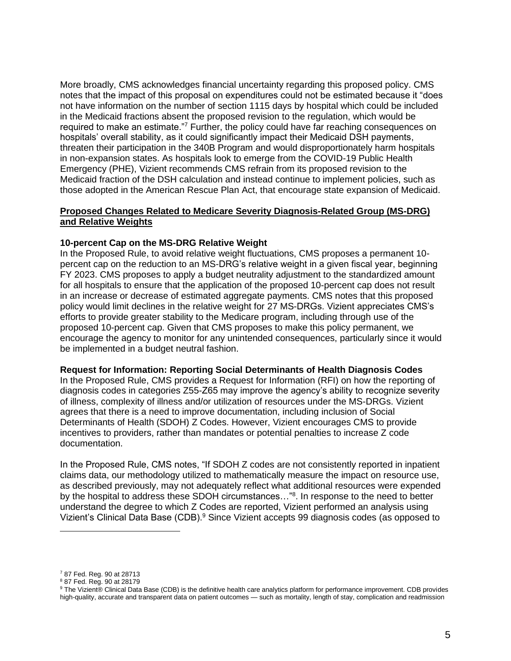More broadly, CMS acknowledges financial uncertainty regarding this proposed policy. CMS notes that the impact of this proposal on expenditures could not be estimated because it "does not have information on the number of section 1115 days by hospital which could be included in the Medicaid fractions absent the proposed revision to the regulation, which would be required to make an estimate."<sup>7</sup> Further, the policy could have far reaching consequences on hospitals' overall stability, as it could significantly impact their Medicaid DSH payments, threaten their participation in the 340B Program and would disproportionately harm hospitals in non-expansion states. As hospitals look to emerge from the COVID-19 Public Health Emergency (PHE), Vizient recommends CMS refrain from its proposed revision to the Medicaid fraction of the DSH calculation and instead continue to implement policies, such as those adopted in the American Rescue Plan Act, that encourage state expansion of Medicaid.

## **Proposed Changes Related to Medicare Severity Diagnosis-Related Group (MS-DRG) and Relative Weights**

#### **10-percent Cap on the MS-DRG Relative Weight**

In the Proposed Rule, to avoid relative weight fluctuations, CMS proposes a permanent 10 percent cap on the reduction to an MS-DRG's relative weight in a given fiscal year, beginning FY 2023. CMS proposes to apply a budget neutrality adjustment to the standardized amount for all hospitals to ensure that the application of the proposed 10-percent cap does not result in an increase or decrease of estimated aggregate payments. CMS notes that this proposed policy would limit declines in the relative weight for 27 MS-DRGs. Vizient appreciates CMS's efforts to provide greater stability to the Medicare program, including through use of the proposed 10-percent cap. Given that CMS proposes to make this policy permanent, we encourage the agency to monitor for any unintended consequences, particularly since it would be implemented in a budget neutral fashion.

#### **Request for Information: Reporting Social Determinants of Health Diagnosis Codes**

In the Proposed Rule, CMS provides a Request for Information (RFI) on how the reporting of diagnosis codes in categories Z55-Z65 may improve the agency's ability to recognize severity of illness, complexity of illness and/or utilization of resources under the MS-DRGs. Vizient agrees that there is a need to improve documentation, including inclusion of Social Determinants of Health (SDOH) Z Codes. However, Vizient encourages CMS to provide incentives to providers, rather than mandates or potential penalties to increase Z code documentation.

In the Proposed Rule, CMS notes, "If SDOH Z codes are not consistently reported in inpatient claims data, our methodology utilized to mathematically measure the impact on resource use, as described previously, may not adequately reflect what additional resources were expended by the hospital to address these SDOH circumstances..."<sup>8</sup>. In response to the need to better understand the degree to which Z Codes are reported, Vizient performed an analysis using Vizient's Clinical Data Base (CDB).<sup>9</sup> Since Vizient accepts 99 diagnosis codes (as opposed to

<sup>7</sup> 87 Fed. Reg. 90 at 28713

<sup>8</sup> 87 Fed. Reg. 90 at 28179

<sup>&</sup>lt;sup>9</sup> The Vizient<sup>®</sup> Clinical Data Base (CDB) is the definitive health care analytics platform for performance improvement. CDB provides high-quality, accurate and transparent data on patient outcomes — such as mortality, length of stay, complication and readmission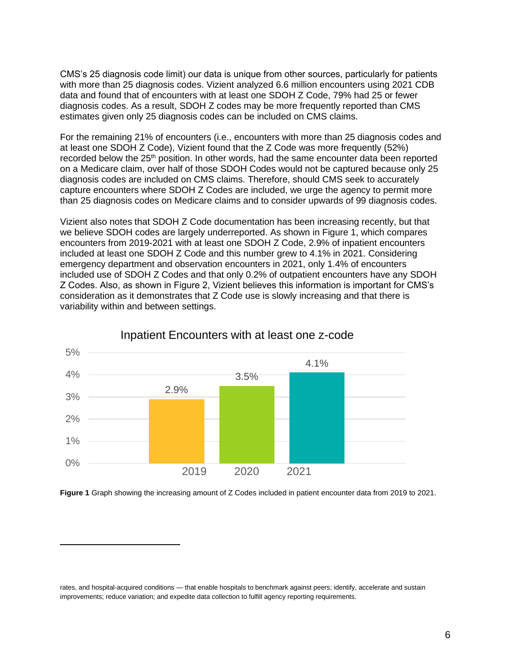CMS's 25 diagnosis code limit) our data is unique from other sources, particularly for patients with more than 25 diagnosis codes. Vizient analyzed 6.6 million encounters using 2021 CDB data and found that of encounters with at least one SDOH Z Code, 79% had 25 or fewer diagnosis codes. As a result, SDOH Z codes may be more frequently reported than CMS estimates given only 25 diagnosis codes can be included on CMS claims.

For the remaining 21% of encounters (i.e., encounters with more than 25 diagnosis codes and at least one SDOH Z Code), Vizient found that the Z Code was more frequently (52%) recorded below the 25<sup>th</sup> position. In other words, had the same encounter data been reported on a Medicare claim, over half of those SDOH Codes would not be captured because only 25 diagnosis codes are included on CMS claims. Therefore, should CMS seek to accurately capture encounters where SDOH Z Codes are included, we urge the agency to permit more than 25 diagnosis codes on Medicare claims and to consider upwards of 99 diagnosis codes.

Vizient also notes that SDOH Z Code documentation has been increasing recently, but that we believe SDOH codes are largely underreported. As shown in Figure 1, which compares encounters from 2019-2021 with at least one SDOH Z Code, 2.9% of inpatient encounters included at least one SDOH Z Code and this number grew to 4.1% in 2021. Considering emergency department and observation encounters in 2021, only 1.4% of encounters included use of SDOH Z Codes and that only 0.2% of outpatient encounters have any SDOH Z Codes. Also, as shown in Figure 2, Vizient believes this information is important for CMS's consideration as it demonstrates that Z Code use is slowly increasing and that there is variability within and between settings.



# Inpatient Encounters with at least one z-code

**Figure 1** Graph showing the increasing amount of Z Codes included in patient encounter data from 2019 to 2021.

rates, and hospital-acquired conditions — that enable hospitals to benchmark against peers; identify, accelerate and sustain improvements; reduce variation; and expedite data collection to fulfill agency reporting requirements.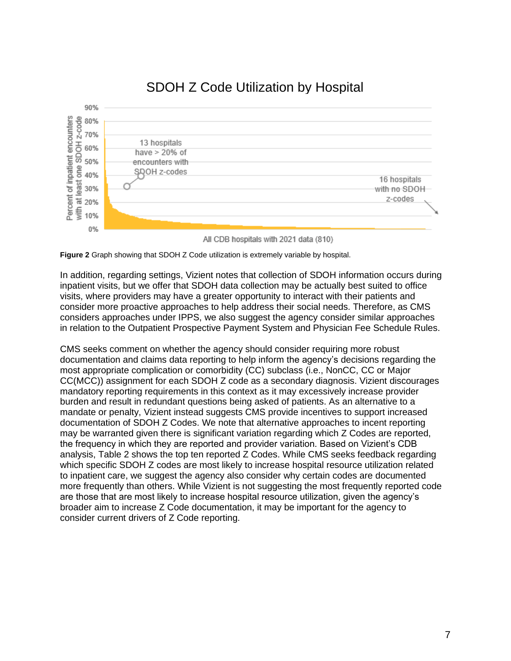

# SDOH Z Code Utilization by Hospital

**Figure 2** Graph showing that SDOH Z Code utilization is extremely variable by hospital.

In addition, regarding settings, Vizient notes that collection of SDOH information occurs during inpatient visits, but we offer that SDOH data collection may be actually best suited to office visits, where providers may have a greater opportunity to interact with their patients and consider more proactive approaches to help address their social needs. Therefore, as CMS considers approaches under IPPS, we also suggest the agency consider similar approaches in relation to the Outpatient Prospective Payment System and Physician Fee Schedule Rules.

CMS seeks comment on whether the agency should consider requiring more robust documentation and claims data reporting to help inform the agency's decisions regarding the most appropriate complication or comorbidity (CC) subclass (i.e., NonCC, CC or Major CC(MCC)) assignment for each SDOH Z code as a secondary diagnosis. Vizient discourages mandatory reporting requirements in this context as it may excessively increase provider burden and result in redundant questions being asked of patients. As an alternative to a mandate or penalty, Vizient instead suggests CMS provide incentives to support increased documentation of SDOH Z Codes. We note that alternative approaches to incent reporting may be warranted given there is significant variation regarding which Z Codes are reported, the frequency in which they are reported and provider variation. Based on Vizient's CDB analysis, Table 2 shows the top ten reported Z Codes. While CMS seeks feedback regarding which specific SDOH Z codes are most likely to increase hospital resource utilization related to inpatient care, we suggest the agency also consider why certain codes are documented more frequently than others. While Vizient is not suggesting the most frequently reported code are those that are most likely to increase hospital resource utilization, given the agency's broader aim to increase Z Code documentation, it may be important for the agency to consider current drivers of Z Code reporting.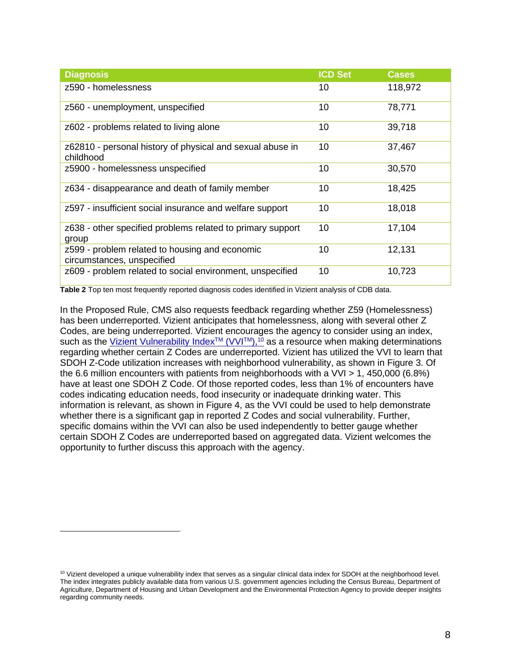| <b>Diagnosis</b>                                                             | <b>ICD Set</b> | <b>Cases</b> |
|------------------------------------------------------------------------------|----------------|--------------|
| z590 - homelessness                                                          | 10             | 118,972      |
| z560 - unemployment, unspecified                                             | 10             | 78,771       |
| z602 - problems related to living alone                                      | 10             | 39,718       |
| z62810 - personal history of physical and sexual abuse in<br>childhood       | 10             | 37,467       |
| z5900 - homelessness unspecified                                             | 10             | 30,570       |
| z634 - disappearance and death of family member                              | 10             | 18,425       |
| z597 - insufficient social insurance and welfare support                     | 10             | 18,018       |
| z638 - other specified problems related to primary support<br>group          | 10             | 17,104       |
| z599 - problem related to housing and economic<br>circumstances, unspecified | 10             | 12,131       |
| z609 - problem related to social environment, unspecified                    | 10             | 10,723       |

**Table 2** Top ten most frequently reported diagnosis codes identified in Vizient analysis of CDB data.

In the Proposed Rule, CMS also requests feedback regarding whether Z59 (Homelessness) has been underreported. Vizient anticipates that homelessness, along with several other Z Codes, are being underreported. Vizient encourages the agency to consider using an index, such as the <u>Vizient Vulnerability Index™ (VVI™),<sup>10</sup></u> as a resource when making determinations regarding whether certain Z Codes are underreported. Vizient has utilized the VVI to learn that SDOH Z-Code utilization increases with neighborhood vulnerability, as shown in Figure 3. Of the 6.6 million encounters with patients from neighborhoods with a VVI > 1, 450,000 (6.8%) have at least one SDOH Z Code. Of those reported codes, less than 1% of encounters have codes indicating education needs, food insecurity or inadequate drinking water. This information is relevant, as shown in Figure 4, as the VVI could be used to help demonstrate whether there is a significant gap in reported Z Codes and social vulnerability. Further, specific domains within the VVI can also be used independently to better gauge whether certain SDOH Z Codes are underreported based on aggregated data. Vizient welcomes the opportunity to further discuss this approach with the agency.

<sup>&</sup>lt;sup>10</sup> Vizient developed a unique vulnerability index that serves as a singular clinical data index for SDOH at the neighborhood level. The index integrates publicly available data from various U.S. government agencies including the Census Bureau, Department of Agriculture, Department of Housing and Urban Development and the Environmental Protection Agency to provide deeper insights regarding community needs.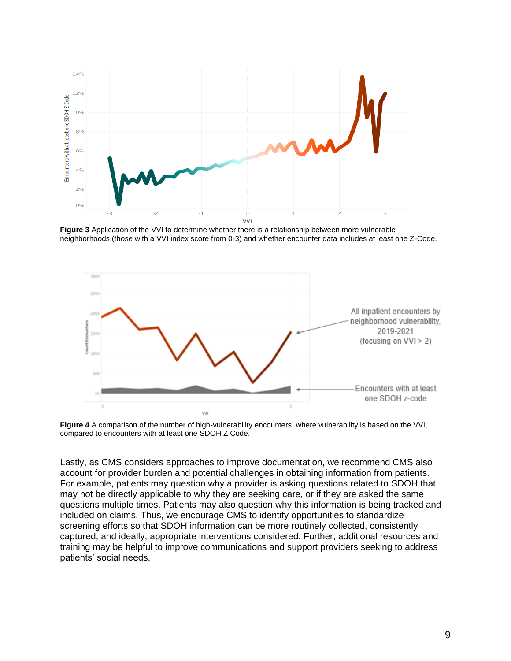

**Figure 3** Application of the VVI to determine whether there is a relationship between more vulnerable neighborhoods (those with a VVI index score from 0-3) and whether encounter data includes at least one Z-Code.



**Figure 4** A comparison of the number of high-vulnerability encounters, where vulnerability is based on the VVI, compared to encounters with at least one SDOH Z Code.

Lastly, as CMS considers approaches to improve documentation, we recommend CMS also account for provider burden and potential challenges in obtaining information from patients. For example, patients may question why a provider is asking questions related to SDOH that may not be directly applicable to why they are seeking care, or if they are asked the same questions multiple times. Patients may also question why this information is being tracked and included on claims. Thus, we encourage CMS to identify opportunities to standardize screening efforts so that SDOH information can be more routinely collected, consistently captured, and ideally, appropriate interventions considered. Further, additional resources and training may be helpful to improve communications and support providers seeking to address patients' social needs.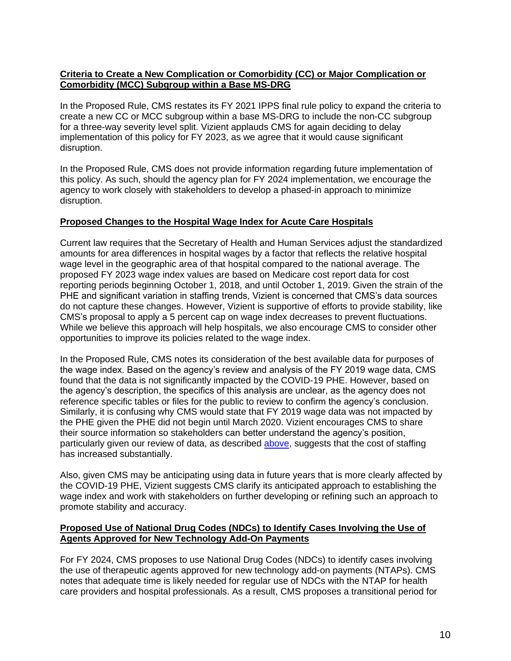# **Criteria to Create a New Complication or Comorbidity (CC) or Major Complication or Comorbidity (MCC) Subgroup within a Base MS-DRG**

In the Proposed Rule, CMS restates its FY 2021 IPPS final rule policy to expand the criteria to create a new CC or MCC subgroup within a base MS-DRG to include the non-CC subgroup for a three-way severity level split. Vizient applauds CMS for again deciding to delay implementation of this policy for FY 2023, as we agree that it would cause significant disruption.

In the Proposed Rule, CMS does not provide information regarding future implementation of this policy. As such, should the agency plan for FY 2024 implementation, we encourage the agency to work closely with stakeholders to develop a phased-in approach to minimize disruption.

# **Proposed Changes to the Hospital Wage Index for Acute Care Hospitals**

Current law requires that the Secretary of Health and Human Services adjust the standardized amounts for area differences in hospital wages by a factor that reflects the relative hospital wage level in the geographic area of that hospital compared to the national average. The proposed FY 2023 wage index values are based on Medicare cost report data for cost reporting periods beginning October 1, 2018, and until October 1, 2019. Given the strain of the PHE and significant variation in staffing trends, Vizient is concerned that CMS's data sources do not capture these changes. However, Vizient is supportive of efforts to provide stability, like CMS's proposal to apply a 5 percent cap on wage index decreases to prevent fluctuations. While we believe this approach will help hospitals, we also encourage CMS to consider other opportunities to improve its policies related to the wage index.

In the Proposed Rule, CMS notes its consideration of the best available data for purposes of the wage index. Based on the agency's review and analysis of the FY 2019 wage data, CMS found that the data is not significantly impacted by the COVID-19 PHE. However, based on the agency's description, the specifics of this analysis are unclear, as the agency does not reference specific tables or files for the public to review to confirm the agency's conclusion. Similarly, it is confusing why CMS would state that FY 2019 wage data was not impacted by the PHE given the PHE did not begin until March 2020. Vizient encourages CMS to share their source information so stakeholders can better understand the agency's position, particularly given our review of data, as described [above,](#page-2-0) suggests that the cost of staffing has increased substantially.

Also, given CMS may be anticipating using data in future years that is more clearly affected by the COVID-19 PHE, Vizient suggests CMS clarify its anticipated approach to establishing the wage index and work with stakeholders on further developing or refining such an approach to promote stability and accuracy.

# **Proposed Use of National Drug Codes (NDCs) to Identify Cases Involving the Use of Agents Approved for New Technology Add-On Payments**

For FY 2024, CMS proposes to use National Drug Codes (NDCs) to identify cases involving the use of therapeutic agents approved for new technology add-on payments (NTAPs). CMS notes that adequate time is likely needed for regular use of NDCs with the NTAP for health care providers and hospital professionals. As a result, CMS proposes a transitional period for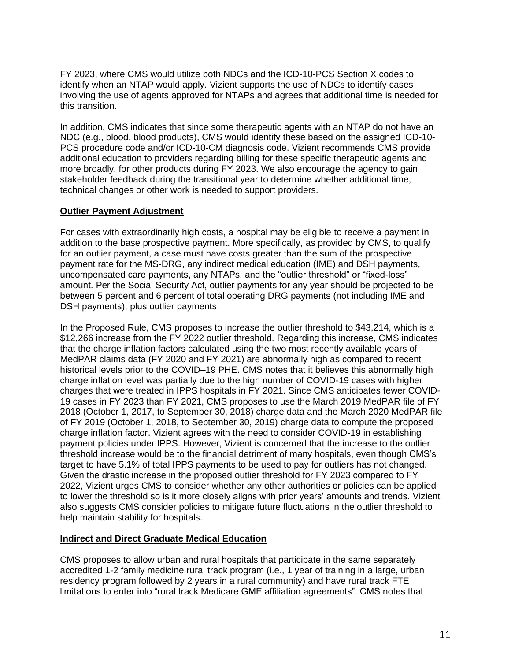FY 2023, where CMS would utilize both NDCs and the ICD-10-PCS Section X codes to identify when an NTAP would apply. Vizient supports the use of NDCs to identify cases involving the use of agents approved for NTAPs and agrees that additional time is needed for this transition.

In addition, CMS indicates that since some therapeutic agents with an NTAP do not have an NDC (e.g., blood, blood products), CMS would identify these based on the assigned ICD-10- PCS procedure code and/or ICD-10-CM diagnosis code. Vizient recommends CMS provide additional education to providers regarding billing for these specific therapeutic agents and more broadly, for other products during FY 2023. We also encourage the agency to gain stakeholder feedback during the transitional year to determine whether additional time, technical changes or other work is needed to support providers.

# **Outlier Payment Adjustment**

For cases with extraordinarily high costs, a hospital may be eligible to receive a payment in addition to the base prospective payment. More specifically, as provided by CMS, to qualify for an outlier payment, a case must have costs greater than the sum of the prospective payment rate for the MS-DRG, any indirect medical education (IME) and DSH payments, uncompensated care payments, any NTAPs, and the "outlier threshold" or "fixed-loss" amount. Per the Social Security Act, outlier payments for any year should be projected to be between 5 percent and 6 percent of total operating DRG payments (not including IME and DSH payments), plus outlier payments.

In the Proposed Rule, CMS proposes to increase the outlier threshold to \$43,214, which is a \$12,266 increase from the FY 2022 outlier threshold. Regarding this increase, CMS indicates that the charge inflation factors calculated using the two most recently available years of MedPAR claims data (FY 2020 and FY 2021) are abnormally high as compared to recent historical levels prior to the COVID–19 PHE. CMS notes that it believes this abnormally high charge inflation level was partially due to the high number of COVID-19 cases with higher charges that were treated in IPPS hospitals in FY 2021. Since CMS anticipates fewer COVID-19 cases in FY 2023 than FY 2021, CMS proposes to use the March 2019 MedPAR file of FY 2018 (October 1, 2017, to September 30, 2018) charge data and the March 2020 MedPAR file of FY 2019 (October 1, 2018, to September 30, 2019) charge data to compute the proposed charge inflation factor. Vizient agrees with the need to consider COVID-19 in establishing payment policies under IPPS. However, Vizient is concerned that the increase to the outlier threshold increase would be to the financial detriment of many hospitals, even though CMS's target to have 5.1% of total IPPS payments to be used to pay for outliers has not changed. Given the drastic increase in the proposed outlier threshold for FY 2023 compared to FY 2022, Vizient urges CMS to consider whether any other authorities or policies can be applied to lower the threshold so is it more closely aligns with prior years' amounts and trends. Vizient also suggests CMS consider policies to mitigate future fluctuations in the outlier threshold to help maintain stability for hospitals.

# **Indirect and Direct Graduate Medical Education**

CMS proposes to allow urban and rural hospitals that participate in the same separately accredited 1-2 family medicine rural track program (i.e., 1 year of training in a large, urban residency program followed by 2 years in a rural community) and have rural track FTE limitations to enter into "rural track Medicare GME affiliation agreements". CMS notes that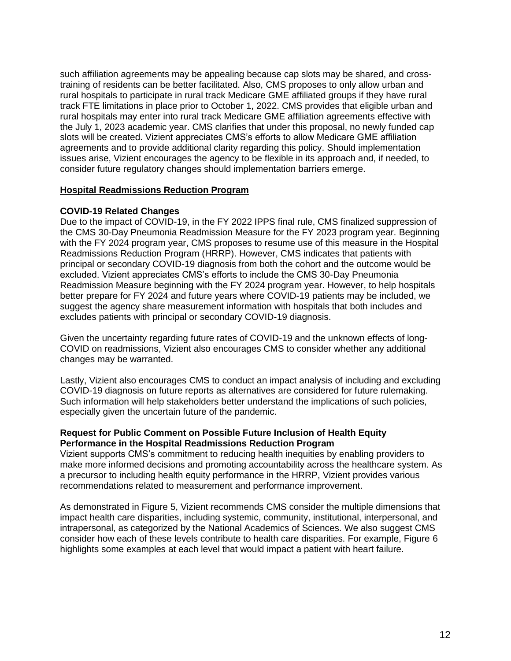such affiliation agreements may be appealing because cap slots may be shared, and crosstraining of residents can be better facilitated. Also, CMS proposes to only allow urban and rural hospitals to participate in rural track Medicare GME affiliated groups if they have rural track FTE limitations in place prior to October 1, 2022. CMS provides that eligible urban and rural hospitals may enter into rural track Medicare GME affiliation agreements effective with the July 1, 2023 academic year. CMS clarifies that under this proposal, no newly funded cap slots will be created. Vizient appreciates CMS's efforts to allow Medicare GME affiliation agreements and to provide additional clarity regarding this policy. Should implementation issues arise, Vizient encourages the agency to be flexible in its approach and, if needed, to consider future regulatory changes should implementation barriers emerge.

# **Hospital Readmissions Reduction Program**

# **COVID-19 Related Changes**

Due to the impact of COVID-19, in the FY 2022 IPPS final rule, CMS finalized suppression of the CMS 30-Day Pneumonia Readmission Measure for the FY 2023 program year. Beginning with the FY 2024 program year, CMS proposes to resume use of this measure in the Hospital Readmissions Reduction Program (HRRP). However, CMS indicates that patients with principal or secondary COVID-19 diagnosis from both the cohort and the outcome would be excluded. Vizient appreciates CMS's efforts to include the CMS 30-Day Pneumonia Readmission Measure beginning with the FY 2024 program year. However, to help hospitals better prepare for FY 2024 and future years where COVID-19 patients may be included, we suggest the agency share measurement information with hospitals that both includes and excludes patients with principal or secondary COVID-19 diagnosis.

Given the uncertainty regarding future rates of COVID-19 and the unknown effects of long-COVID on readmissions, Vizient also encourages CMS to consider whether any additional changes may be warranted.

Lastly, Vizient also encourages CMS to conduct an impact analysis of including and excluding COVID-19 diagnosis on future reports as alternatives are considered for future rulemaking. Such information will help stakeholders better understand the implications of such policies, especially given the uncertain future of the pandemic.

# **Request for Public Comment on Possible Future Inclusion of Health Equity Performance in the Hospital Readmissions Reduction Program**

Vizient supports CMS's commitment to reducing health inequities by enabling providers to make more informed decisions and promoting accountability across the healthcare system. As a precursor to including health equity performance in the HRRP, Vizient provides various recommendations related to measurement and performance improvement.

As demonstrated in Figure 5, Vizient recommends CMS consider the multiple dimensions that impact health care disparities, including systemic, community, institutional, interpersonal, and intrapersonal, as categorized by the National Academics of Sciences. We also suggest CMS consider how each of these levels contribute to health care disparities. For example, Figure 6 highlights some examples at each level that would impact a patient with heart failure.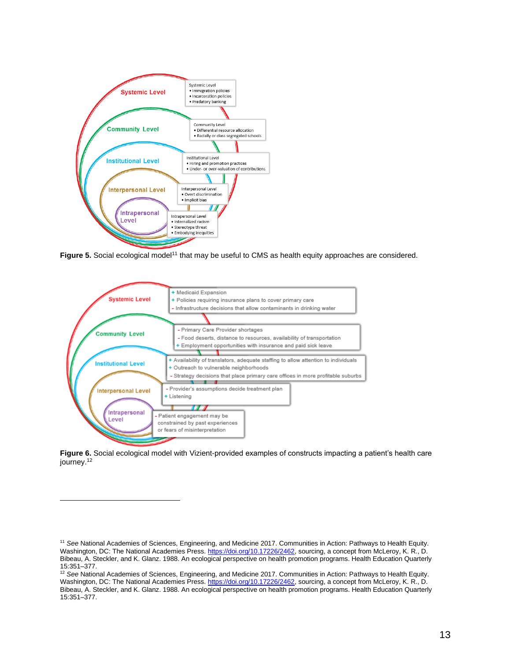

**Figure 5.** Social ecological model<sup>11</sup> that may be useful to CMS as health equity approaches are considered.



**Figure 6.** Social ecological model with Vizient-provided examples of constructs impacting a patient's health care journey.<sup>12</sup>

<sup>11</sup> *See* National Academies of Sciences, Engineering, and Medicine 2017. Communities in Action: Pathways to Health Equity. Washington, DC: The National Academies Press. [https://doi.org/10.17226/2462,](https://doi.org/10.17226/2462) sourcing, a concept from McLeroy, K. R., D. Bibeau, A. Steckler, and K. Glanz. 1988. An ecological perspective on health promotion programs. Health Education Quarterly 15:351–377.

<sup>&</sup>lt;sup>12</sup> See National Academies of Sciences, Engineering, and Medicine 2017. Communities in Action: Pathways to Health Equity. Washington, DC: The National Academies Press. [https://doi.org/10.17226/2462,](https://doi.org/10.17226/2462) sourcing, a concept from McLeroy, K. R., D. Bibeau, A. Steckler, and K. Glanz. 1988. An ecological perspective on health promotion programs. Health Education Quarterly 15:351–377.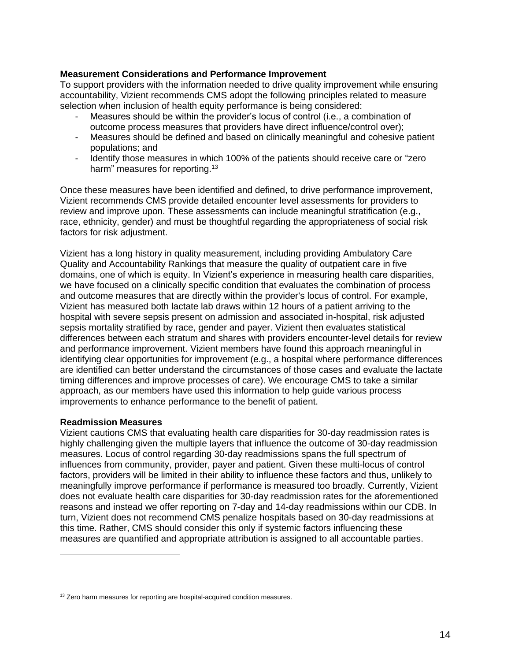# **Measurement Considerations and Performance Improvement**

To support providers with the information needed to drive quality improvement while ensuring accountability, Vizient recommends CMS adopt the following principles related to measure selection when inclusion of health equity performance is being considered:

- <span id="page-13-0"></span>- Measures should be within the provider's locus of control (i.e., a combination of outcome process measures that providers have direct influence/control over);
- Measures should be defined and based on clinically meaningful and cohesive patient populations; and
- Identify those measures in which 100% of the patients should receive care or "zero" harm" measures for reporting.<sup>13</sup>

Once these measures have been identified and defined, to drive performance improvement, Vizient recommends CMS provide detailed encounter level assessments for providers to review and improve upon. These assessments can include meaningful stratification (e.g., race, ethnicity, gender) and must be thoughtful regarding the appropriateness of social risk factors for risk adjustment.

Vizient has a long history in quality measurement, including providing Ambulatory Care Quality and Accountability Rankings that measure the quality of outpatient care in five domains, one of which is equity. In Vizient's experience in measuring health care disparities, we have focused on a clinically specific condition that evaluates the combination of process and outcome measures that are directly within the provider's locus of control. For example, Vizient has measured both lactate lab draws within 12 hours of a patient arriving to the hospital with severe sepsis present on admission and associated in-hospital, risk adjusted sepsis mortality stratified by race, gender and payer. Vizient then evaluates statistical differences between each stratum and shares with providers encounter-level details for review and performance improvement. Vizient members have found this approach meaningful in identifying clear opportunities for improvement (e.g., a hospital where performance differences are identified can better understand the circumstances of those cases and evaluate the lactate timing differences and improve processes of care). We encourage CMS to take a similar approach, as our members have used this information to help guide various process improvements to enhance performance to the benefit of patient.

#### **Readmission Measures**

Vizient cautions CMS that evaluating health care disparities for 30-day readmission rates is highly challenging given the multiple layers that influence the outcome of 30-day readmission measures. Locus of control regarding 30-day readmissions spans the full spectrum of influences from community, provider, payer and patient. Given these multi-locus of control factors, providers will be limited in their ability to influence these factors and thus, unlikely to meaningfully improve performance if performance is measured too broadly. Currently, Vizient does not evaluate health care disparities for 30-day readmission rates for the aforementioned reasons and instead we offer reporting on 7-day and 14-day readmissions within our CDB. In turn, Vizient does not recommend CMS penalize hospitals based on 30-day readmissions at this time. Rather, CMS should consider this only if systemic factors influencing these measures are quantified and appropriate attribution is assigned to all accountable parties.

<sup>&</sup>lt;sup>13</sup> Zero harm measures for reporting are hospital-acquired condition measures.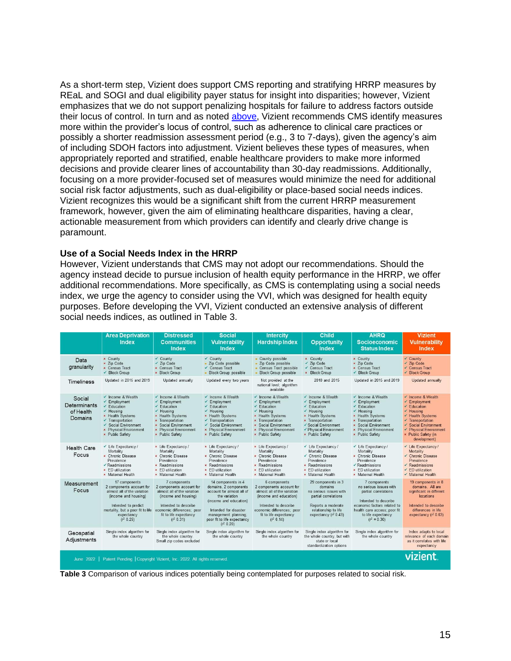As a short-term step, Vizient does support CMS reporting and stratifying HRRP measures by REaL and SOGI and dual eligibility payer status for insight into disparities; however, Vizient emphasizes that we do not support penalizing hospitals for failure to address factors outside their locus of control. In turn and as noted [above,](#page-13-0) Vizient recommends CMS identify measures more within the provider's locus of control, such as adherence to clinical care practices or possibly a shorter readmission assessment period (e.g., 3 to 7-days), given the agency's aim of including SDOH factors into adjustment. Vizient believes these types of measures, when appropriately reported and stratified, enable healthcare providers to make more informed decisions and provide clearer lines of accountability than 30-day readmissions. Additionally, focusing on a more provider-focused set of measures would minimize the need for additional social risk factor adjustments, such as dual-eligibility or place-based social needs indices. Vizient recognizes this would be a significant shift from the current HRRP measurement framework, however, given the aim of eliminating healthcare disparities, having a clear, actionable measurement from which providers can identify and clearly drive change is paramount.

#### **Use of a Social Needs Index in the HRRP**

However, Vizient understands that CMS may not adopt our recommendations. Should the agency instead decide to pursue inclusion of health equity performance in the HRRP, we offer additional recommendations. More specifically, as CMS is contemplating using a social needs index, we urge the agency to consider using the VVI, which was designed for health equity purposes. Before developing the VVI, Vizient conducted an extensive analysis of different social needs indices, as outlined in Table 3.

<span id="page-14-0"></span>

|                                                                                  | <b>Area Deprivation</b><br><b>Index</b>                                                                                                                                                                                       | <b>Distressed</b><br><b>Communities</b><br><b>Index</b>                                                                                                                                                               | <b>Social</b><br><b>Vulnerability</b><br><b>Index</b>                                                                                                                                                               | <b>Intercity</b><br><b>Hardship Index</b>                                                                                                                                                                                                                                 | Child<br><b>Opportunity</b><br><b>Index</b>                                                                                                                                                                        | <b>AHRQ</b><br><b>Socioeconomic</b><br><b>Status Index</b>                                                                                                                                                            | <b>Vizient</b><br><b>Vulnerability</b><br>Index                                                                                                                                                                                    |
|----------------------------------------------------------------------------------|-------------------------------------------------------------------------------------------------------------------------------------------------------------------------------------------------------------------------------|-----------------------------------------------------------------------------------------------------------------------------------------------------------------------------------------------------------------------|---------------------------------------------------------------------------------------------------------------------------------------------------------------------------------------------------------------------|---------------------------------------------------------------------------------------------------------------------------------------------------------------------------------------------------------------------------------------------------------------------------|--------------------------------------------------------------------------------------------------------------------------------------------------------------------------------------------------------------------|-----------------------------------------------------------------------------------------------------------------------------------------------------------------------------------------------------------------------|------------------------------------------------------------------------------------------------------------------------------------------------------------------------------------------------------------------------------------|
| Data<br>granularity                                                              | × County<br>× Zip Code<br><b>×</b> Census Tract<br>✔ Block Group                                                                                                                                                              | ✔ County<br>$\checkmark$ Zip Code<br><b>x</b> Census Tract<br><b>*</b> Block Group                                                                                                                                    | ✔ County<br>Zip Code possible<br>✔ Census Tract<br><b>Block Group possible</b>                                                                                                                                      | • County possible<br>· Zip Code possible<br>• Census Tract possible<br><b>Block Group possible</b>                                                                                                                                                                        | <b>x</b> County<br>$\checkmark$ Zip Code<br>✔ Census Tract<br>× Block Group                                                                                                                                        | × County<br>× Zip Code<br><b>×</b> Census Tract<br>✔ Block Group                                                                                                                                                      | $\checkmark$ County<br>$\checkmark$ Zip Code<br>✔ Census Tract<br>✔ Block Group                                                                                                                                                    |
| Timeliness                                                                       | Updated in 2015 and 2019                                                                                                                                                                                                      | Updated annually                                                                                                                                                                                                      | Updated every two years                                                                                                                                                                                             | Not provided at the<br>national level; algorithm<br>available                                                                                                                                                                                                             | 2010 and 2015                                                                                                                                                                                                      | Updated in 2015 and 2019                                                                                                                                                                                              | Updated annually                                                                                                                                                                                                                   |
| Social<br>Determinants<br>of Health<br>Domains                                   | $\checkmark$ Income & Wealth<br>$\checkmark$ Employment<br>$\checkmark$ Education<br>$\checkmark$ Housing<br>× Health Systems<br>✔ Transportation<br>✔ Social Environment<br><b>*</b> Physical Environment<br>× Public Safety | $\checkmark$ Income & Wealth<br>✔ Employment<br>✔ Education<br>$\checkmark$ Housing<br>× Health Systems<br><b>x</b> Transportation<br><b>× Social Environment</b><br><b>*</b> Physical Environment<br>× Public Safety | ✔ Income & Wealth<br>✔ Employment<br>$\checkmark$ Education<br>$\checkmark$ Housing<br>× Health Systems<br>✔ Transportation<br>✔ Social Environment<br><b>*</b> Physical Environment<br>× Public Safety             | $\checkmark$ Income & Wealth<br>✔ Employment<br>$\checkmark$ Education<br>$\checkmark$ Housing<br><b>* Health Systems</b><br><b>x</b> Transportation<br><b>× Social Environment</b><br><b>Physical Environment</b><br>$\boldsymbol{\mathsf{x}}$<br><b>*</b> Public Safety | $\checkmark$ Income & Wealth<br>✔ Employment<br>$\checkmark$ Education<br>$\checkmark$ Housing<br>× Health Systems<br><b>x</b> Transportation<br>✔ Social Environment<br>✔ Physical Environment<br>× Public Safety | $\checkmark$ Income & Wealth<br>✔ Employment<br>$\checkmark$ Education<br>✔ Housing<br>× Health Systems<br><b>*</b> Transportation<br><b>× Social Environment</b><br><b>*</b> Physical Environment<br>× Public Safety | $\checkmark$ Income & Wealth<br>← Employment<br>$\checkmark$ Education<br>$\checkmark$ Housing<br>✔ Health Systems<br>✔ Transportation<br>Social Environment<br>✓<br>← Physical Environment<br>× Public Safety (in<br>development) |
| <b>Health Care</b><br>Focus                                                      | $\checkmark$ Life Expectancy /<br>Mortality<br>× Chronic Disease<br>Prevalence<br>$\checkmark$ Readmissions<br>× ED utilization<br><b>×</b> Maternal Health                                                                   | * Life Expectancy /<br>Mortality<br><b>*</b> Chronic Disease<br>Prevalence<br><b>×</b> Readmissions<br>$\times$ ED utilization<br><b>×</b> Maternal Health                                                            | × Life Expectancy /<br>Mortality<br>× Chronic Disease<br>Prevalence<br>× Readmissions<br><b>x</b> ED utilization<br>× Maternal Health                                                                               | × Life Expectancy/<br>Mortality<br><b>*</b> Chronic Disease<br>Prevalence<br>× Readmissions<br><b>x</b> ED utilization<br>× Maternal Health                                                                                                                               | $\checkmark$ Life Expectancy /<br>Mortality<br>✔ Chronic Disease<br>Prevalence<br>× Readmissions<br>$\times$ ED utilization<br>× Maternal Health                                                                   | $\checkmark$ Life Expectancy /<br>Mortality<br><b>*</b> Chronic Disease<br>Prevalence<br>$\checkmark$ Readmissions<br><b>x</b> ED utilization<br>× Maternal Health                                                    | ✔ Life Expectancy /<br>Mortality<br>✔ Chronic Disease<br>Prevalence<br>$\checkmark$ Readmissions<br>$\checkmark$ ED utilization<br>← Maternal Health                                                                               |
| Measurement<br>Focus                                                             | 17 components<br>2 components account for<br>almost all of the variation<br>(income and housing)<br>Intended to predict<br>mortality, but a poor fit to life economic differences; poor<br>expectancy<br>$(r^2 0.25)$         | 7 components<br>2 components account for<br>almost all of the variation<br>(income and housing)<br>Intended to describe<br>fit to life expectancy<br>$(r^2 0.31)$                                                     | 14 components in 4<br>domains, 2 components<br>account for almost all of<br>the variation<br>(income and education)<br>Intended for disaster<br>management planning;<br>poor fit to life expectancy<br>$(r^2 0.20)$ | 6 components<br>2 components account for<br>almost all of the variation<br>(income and education)<br>Intended to describe<br>economic differences; poor<br>fit to life expectancy<br>$(r^2 0.14)$                                                                         | 29 components in 3<br>domains<br>no serious issues with<br>partial correlations<br>Reports a moderate<br>relationship to life<br>expectancy $(r^2 0.43)$                                                           | 7 components<br>no serious issues with<br>partial correlations<br>Intended to describe<br>economic factors related to<br>health care access; poor fit<br>to life expectancy<br>$(r^2 = 0.30)$                         | 19 components in 8<br>domains. All are<br>significant in different<br>locations<br>Intended to describe<br>differences in life<br>expectancy $(r^2 0.63)$                                                                          |
| Geospatial<br>Adjustments                                                        | Single index algorithm for<br>the whole country                                                                                                                                                                               | Single index algorithm for<br>the whole country.<br>Small zip codes excluded                                                                                                                                          | Single index algorithm for<br>the whole country                                                                                                                                                                     | Single index algorithm for<br>the whole country                                                                                                                                                                                                                           | Single index algorithm for<br>the whole country, but with<br>state or local<br>standardization options                                                                                                             | Single index algorithm for<br>the whole country                                                                                                                                                                       | Index adapts to local<br>relevance of each domain<br>as it correlates with life<br>expectancy                                                                                                                                      |
| Patent Pending   Copyright Vizient, Inc. 2022. All rights reserved.<br>June 2022 |                                                                                                                                                                                                                               |                                                                                                                                                                                                                       |                                                                                                                                                                                                                     |                                                                                                                                                                                                                                                                           |                                                                                                                                                                                                                    | vizient                                                                                                                                                                                                               |                                                                                                                                                                                                                                    |

**Table 3** Comparison of various indices potentially being contemplated for purposes related to social risk.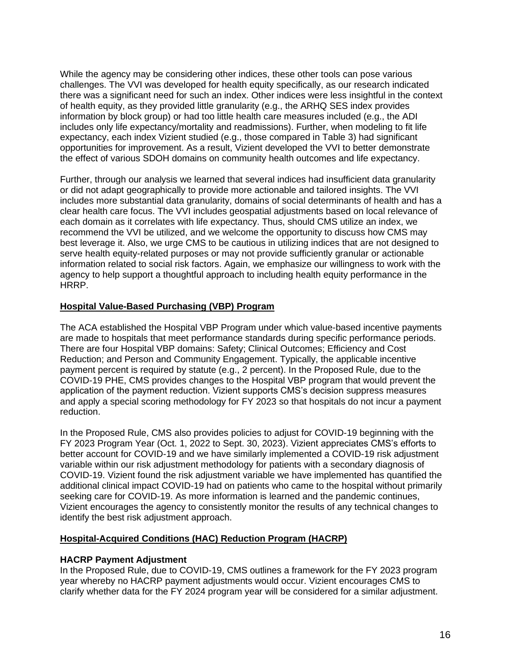While the agency may be considering other indices, these other tools can pose various challenges. The VVI was developed for health equity specifically, as our research indicated there was a significant need for such an index. Other indices were less insightful in the context of health equity, as they provided little granularity (e.g., the ARHQ SES index provides information by block group) or had too little health care measures included (e.g., the ADI includes only life expectancy/mortality and readmissions). Further, when modeling to fit life expectancy, each index Vizient studied (e.g., those compared in Table 3) had significant opportunities for improvement. As a result, Vizient developed the VVI to better demonstrate the effect of various SDOH domains on community health outcomes and life expectancy.

Further, through our analysis we learned that several indices had insufficient data granularity or did not adapt geographically to provide more actionable and tailored insights. The VVI includes more substantial data granularity, domains of social determinants of health and has a clear health care focus. The VVI includes geospatial adjustments based on local relevance of each domain as it correlates with life expectancy. Thus, should CMS utilize an index, we recommend the VVI be utilized, and we welcome the opportunity to discuss how CMS may best leverage it. Also, we urge CMS to be cautious in utilizing indices that are not designed to serve health equity-related purposes or may not provide sufficiently granular or actionable information related to social risk factors. Again, we emphasize our willingness to work with the agency to help support a thoughtful approach to including health equity performance in the HRRP.

# **Hospital Value-Based Purchasing (VBP) Program**

The ACA established the Hospital VBP Program under which value-based incentive payments are made to hospitals that meet performance standards during specific performance periods. There are four Hospital VBP domains: Safety; Clinical Outcomes; Efficiency and Cost Reduction; and Person and Community Engagement. Typically, the applicable incentive payment percent is required by statute (e.g., 2 percent). In the Proposed Rule, due to the COVID-19 PHE, CMS provides changes to the Hospital VBP program that would prevent the application of the payment reduction. Vizient supports CMS's decision suppress measures and apply a special scoring methodology for FY 2023 so that hospitals do not incur a payment reduction.

In the Proposed Rule, CMS also provides policies to adjust for COVID-19 beginning with the FY 2023 Program Year (Oct. 1, 2022 to Sept. 30, 2023). Vizient appreciates CMS's efforts to better account for COVID-19 and we have similarly implemented a COVID-19 risk adjustment variable within our risk adjustment methodology for patients with a secondary diagnosis of COVID-19. Vizient found the risk adjustment variable we have implemented has quantified the additional clinical impact COVID-19 had on patients who came to the hospital without primarily seeking care for COVID-19. As more information is learned and the pandemic continues, Vizient encourages the agency to consistently monitor the results of any technical changes to identify the best risk adjustment approach.

# **Hospital-Acquired Conditions (HAC) Reduction Program (HACRP)**

# **HACRP Payment Adjustment**

In the Proposed Rule, due to COVID-19, CMS outlines a framework for the FY 2023 program year whereby no HACRP payment adjustments would occur. Vizient encourages CMS to clarify whether data for the FY 2024 program year will be considered for a similar adjustment.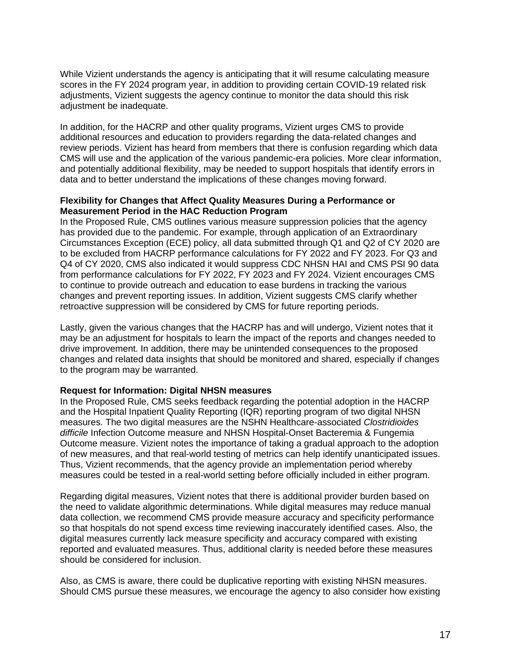While Vizient understands the agency is anticipating that it will resume calculating measure scores in the FY 2024 program year, in addition to providing certain COVID-19 related risk adjustments, Vizient suggests the agency continue to monitor the data should this risk adjustment be inadequate.

In addition, for the HACRP and other quality programs, Vizient urges CMS to provide additional resources and education to providers regarding the data-related changes and review periods. Vizient has heard from members that there is confusion regarding which data CMS will use and the application of the various pandemic-era policies. More clear information, and potentially additional flexibility, may be needed to support hospitals that identify errors in data and to better understand the implications of these changes moving forward.

# **Flexibility for Changes that Affect Quality Measures During a Performance or Measurement Period in the HAC Reduction Program**

In the Proposed Rule, CMS outlines various measure suppression policies that the agency has provided due to the pandemic. For example, through application of an Extraordinary Circumstances Exception (ECE) policy, all data submitted through Q1 and Q2 of CY 2020 are to be excluded from HACRP performance calculations for FY 2022 and FY 2023. For Q3 and Q4 of CY 2020, CMS also indicated it would suppress CDC NHSN HAI and CMS PSI 90 data from performance calculations for FY 2022, FY 2023 and FY 2024. Vizient encourages CMS to continue to provide outreach and education to ease burdens in tracking the various changes and prevent reporting issues. In addition, Vizient suggests CMS clarify whether retroactive suppression will be considered by CMS for future reporting periods.

Lastly, given the various changes that the HACRP has and will undergo, Vizient notes that it may be an adjustment for hospitals to learn the impact of the reports and changes needed to drive improvement. In addition, there may be unintended consequences to the proposed changes and related data insights that should be monitored and shared, especially if changes to the program may be warranted.

# **Request for Information: Digital NHSN measures**

In the Proposed Rule, CMS seeks feedback regarding the potential adoption in the HACRP and the Hospital Inpatient Quality Reporting (IQR) reporting program of two digital NHSN measures. The two digital measures are the NSHN Healthcare-associated *Clostridioides difficile* Infection Outcome measure and NHSN Hospital-Onset Bacteremia & Fungemia Outcome measure. Vizient notes the importance of taking a gradual approach to the adoption of new measures, and that real-world testing of metrics can help identify unanticipated issues. Thus, Vizient recommends, that the agency provide an implementation period whereby measures could be tested in a real-world setting before officially included in either program.

Regarding digital measures, Vizient notes that there is additional provider burden based on the need to validate algorithmic determinations. While digital measures may reduce manual data collection, we recommend CMS provide measure accuracy and specificity performance so that hospitals do not spend excess time reviewing inaccurately identified cases. Also, the digital measures currently lack measure specificity and accuracy compared with existing reported and evaluated measures. Thus, additional clarity is needed before these measures should be considered for inclusion.

Also, as CMS is aware, there could be duplicative reporting with existing NHSN measures. Should CMS pursue these measures, we encourage the agency to also consider how existing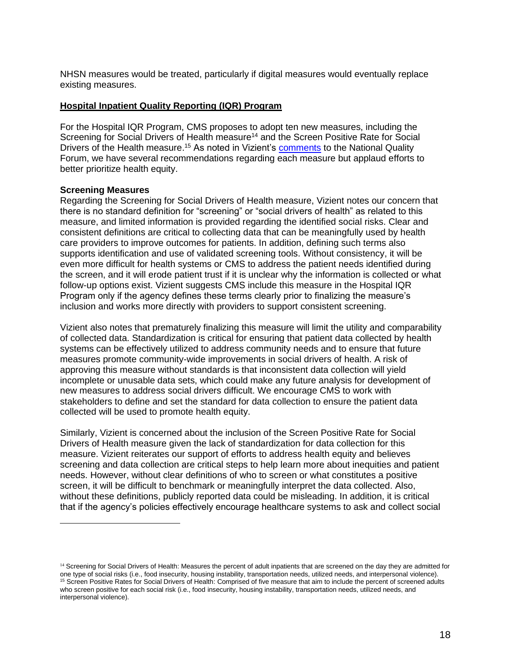NHSN measures would be treated, particularly if digital measures would eventually replace existing measures.

# **Hospital Inpatient Quality Reporting (IQR) Program**

For the Hospital IQR Program, CMS proposes to adopt ten new measures, including the Screening for Social Drivers of Health measure<sup>14</sup> and the Screen Positive Rate for Social Drivers of the Health measure.<sup>15</sup> As noted in Vizient's **comments** to the National Quality Forum, we have several recommendations regarding each measure but applaud efforts to better prioritize health equity.

#### **Screening Measures**

Regarding the Screening for Social Drivers of Health measure, Vizient notes our concern that there is no standard definition for "screening" or "social drivers of health" as related to this measure, and limited information is provided regarding the identified social risks. Clear and consistent definitions are critical to collecting data that can be meaningfully used by health care providers to improve outcomes for patients. In addition, defining such terms also supports identification and use of validated screening tools. Without consistency, it will be even more difficult for health systems or CMS to address the patient needs identified during the screen, and it will erode patient trust if it is unclear why the information is collected or what follow-up options exist. Vizient suggests CMS include this measure in the Hospital IQR Program only if the agency defines these terms clearly prior to finalizing the measure's inclusion and works more directly with providers to support consistent screening.

Vizient also notes that prematurely finalizing this measure will limit the utility and comparability of collected data. Standardization is critical for ensuring that patient data collected by health systems can be effectively utilized to address community needs and to ensure that future measures promote community-wide improvements in social drivers of health. A risk of approving this measure without standards is that inconsistent data collection will yield incomplete or unusable data sets, which could make any future analysis for development of new measures to address social drivers difficult. We encourage CMS to work with stakeholders to define and set the standard for data collection to ensure the patient data collected will be used to promote health equity.

Similarly, Vizient is concerned about the inclusion of the Screen Positive Rate for Social Drivers of Health measure given the lack of standardization for data collection for this measure. Vizient reiterates our support of efforts to address health equity and believes screening and data collection are critical steps to help learn more about inequities and patient needs. However, without clear definitions of who to screen or what constitutes a positive screen, it will be difficult to benchmark or meaningfully interpret the data collected. Also, without these definitions, publicly reported data could be misleading. In addition, it is critical that if the agency's policies effectively encourage healthcare systems to ask and collect social

<sup>&</sup>lt;sup>14</sup> Screening for Social Drivers of Health: Measures the percent of adult inpatients that are screened on the day they are admitted for one type of social risks (i.e., food insecurity, housing instability, transportation needs, utilized needs, and interpersonal violence). <sup>15</sup> Screen Positive Rates for Social Drivers of Health: Comprised of five measure that aim to include the percent of screened adults who screen positive for each social risk (i.e., food insecurity, housing instability, transportation needs, utilized needs, and interpersonal violence).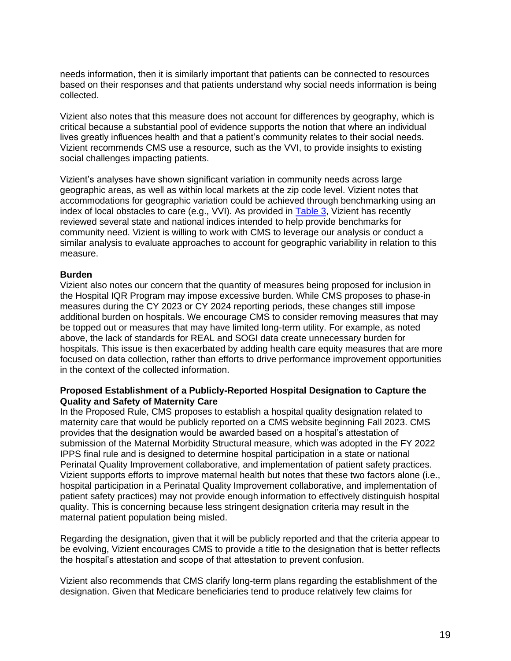needs information, then it is similarly important that patients can be connected to resources based on their responses and that patients understand why social needs information is being collected.

Vizient also notes that this measure does not account for differences by geography, which is critical because a substantial pool of evidence supports the notion that where an individual lives greatly influences health and that a patient's community relates to their social needs. Vizient recommends CMS use a resource, such as the VVI, to provide insights to existing social challenges impacting patients.

Vizient's analyses have shown significant variation in community needs across large geographic areas, as well as within local markets at the zip code level. Vizient notes that accommodations for geographic variation could be achieved through benchmarking using an index of local obstacles to care (e.g., VVI). As provided in **Table 3**, Vizient has recently reviewed several state and national indices intended to help provide benchmarks for community need. Vizient is willing to work with CMS to leverage our analysis or conduct a similar analysis to evaluate approaches to account for geographic variability in relation to this measure.

#### **Burden**

Vizient also notes our concern that the quantity of measures being proposed for inclusion in the Hospital IQR Program may impose excessive burden. While CMS proposes to phase-in measures during the CY 2023 or CY 2024 reporting periods, these changes still impose additional burden on hospitals. We encourage CMS to consider removing measures that may be topped out or measures that may have limited long-term utility. For example, as noted above, the lack of standards for REAL and SOGI data create unnecessary burden for hospitals. This issue is then exacerbated by adding health care equity measures that are more focused on data collection, rather than efforts to drive performance improvement opportunities in the context of the collected information.

# **Proposed Establishment of a Publicly-Reported Hospital Designation to Capture the Quality and Safety of Maternity Care**

In the Proposed Rule, CMS proposes to establish a hospital quality designation related to maternity care that would be publicly reported on a CMS website beginning Fall 2023. CMS provides that the designation would be awarded based on a hospital's attestation of submission of the Maternal Morbidity Structural measure, which was adopted in the FY 2022 IPPS final rule and is designed to determine hospital participation in a state or national Perinatal Quality Improvement collaborative, and implementation of patient safety practices. Vizient supports efforts to improve maternal health but notes that these two factors alone (i.e., hospital participation in a Perinatal Quality Improvement collaborative, and implementation of patient safety practices) may not provide enough information to effectively distinguish hospital quality. This is concerning because less stringent designation criteria may result in the maternal patient population being misled.

Regarding the designation, given that it will be publicly reported and that the criteria appear to be evolving, Vizient encourages CMS to provide a title to the designation that is better reflects the hospital's attestation and scope of that attestation to prevent confusion.

Vizient also recommends that CMS clarify long-term plans regarding the establishment of the designation. Given that Medicare beneficiaries tend to produce relatively few claims for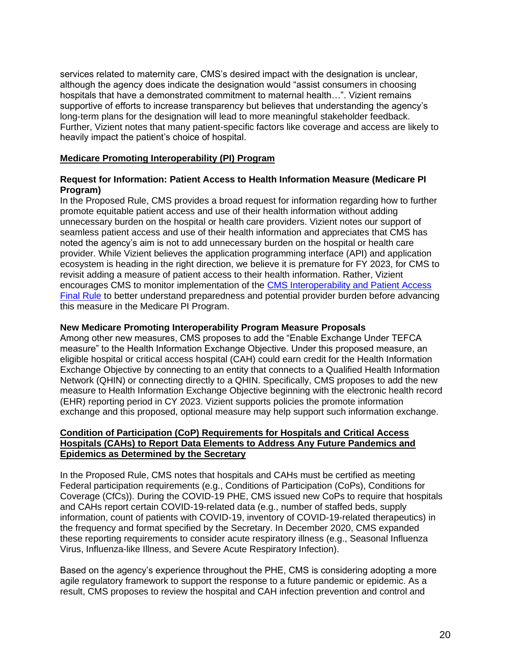services related to maternity care, CMS's desired impact with the designation is unclear, although the agency does indicate the designation would "assist consumers in choosing hospitals that have a demonstrated commitment to maternal health…". Vizient remains supportive of efforts to increase transparency but believes that understanding the agency's long-term plans for the designation will lead to more meaningful stakeholder feedback. Further, Vizient notes that many patient-specific factors like coverage and access are likely to heavily impact the patient's choice of hospital.

# **Medicare Promoting Interoperability (PI) Program**

# **Request for Information: Patient Access to Health Information Measure (Medicare PI Program)**

In the Proposed Rule, CMS provides a broad request for information regarding how to further promote equitable patient access and use of their health information without adding unnecessary burden on the hospital or health care providers. Vizient notes our support of seamless patient access and use of their health information and appreciates that CMS has noted the agency's aim is not to add unnecessary burden on the hospital or health care provider. While Vizient believes the application programming interface (API) and application ecosystem is heading in the right direction, we believe it is premature for FY 2023, for CMS to revisit adding a measure of patient access to their health information. Rather, Vizient encourages CMS to monitor implementation of the [CMS Interoperability and Patient Access](https://www.federalregister.gov/documents/2020/05/01/2020-05050/medicare-and-medicaid-programs-patient-protection-and-affordable-care-act-interoperability-and)  [Final Rule](https://www.federalregister.gov/documents/2020/05/01/2020-05050/medicare-and-medicaid-programs-patient-protection-and-affordable-care-act-interoperability-and) to better understand preparedness and potential provider burden before advancing this measure in the Medicare PI Program.

# **New Medicare Promoting Interoperability Program Measure Proposals**

Among other new measures, CMS proposes to add the "Enable Exchange Under TEFCA measure" to the Health Information Exchange Objective. Under this proposed measure, an eligible hospital or critical access hospital (CAH) could earn credit for the Health Information Exchange Objective by connecting to an entity that connects to a Qualified Health Information Network (QHIN) or connecting directly to a QHIN. Specifically, CMS proposes to add the new measure to Health Information Exchange Objective beginning with the electronic health record (EHR) reporting period in CY 2023. Vizient supports policies the promote information exchange and this proposed, optional measure may help support such information exchange.

# **Condition of Participation (CoP) Requirements for Hospitals and Critical Access Hospitals (CAHs) to Report Data Elements to Address Any Future Pandemics and Epidemics as Determined by the Secretary**

In the Proposed Rule, CMS notes that hospitals and CAHs must be certified as meeting Federal participation requirements (e.g., Conditions of Participation (CoPs), Conditions for Coverage (CfCs)). During the COVID-19 PHE, CMS issued new CoPs to require that hospitals and CAHs report certain COVID-19-related data (e.g., number of staffed beds, supply information, count of patients with COVID-19, inventory of COVID-19-related therapeutics) in the frequency and format specified by the Secretary. In December 2020, CMS expanded these reporting requirements to consider acute respiratory illness (e.g., Seasonal Influenza Virus, Influenza-like Illness, and Severe Acute Respiratory Infection).

Based on the agency's experience throughout the PHE, CMS is considering adopting a more agile regulatory framework to support the response to a future pandemic or epidemic. As a result, CMS proposes to review the hospital and CAH infection prevention and control and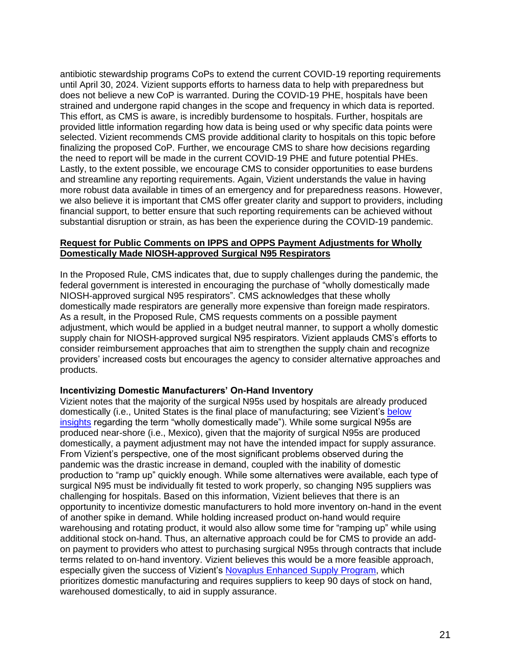antibiotic stewardship programs CoPs to extend the current COVID-19 reporting requirements until April 30, 2024. Vizient supports efforts to harness data to help with preparedness but does not believe a new CoP is warranted. During the COVID-19 PHE, hospitals have been strained and undergone rapid changes in the scope and frequency in which data is reported. This effort, as CMS is aware, is incredibly burdensome to hospitals. Further, hospitals are provided little information regarding how data is being used or why specific data points were selected. Vizient recommends CMS provide additional clarity to hospitals on this topic before finalizing the proposed CoP. Further, we encourage CMS to share how decisions regarding the need to report will be made in the current COVID-19 PHE and future potential PHEs. Lastly, to the extent possible, we encourage CMS to consider opportunities to ease burdens and streamline any reporting requirements. Again, Vizient understands the value in having more robust data available in times of an emergency and for preparedness reasons. However, we also believe it is important that CMS offer greater clarity and support to providers, including financial support, to better ensure that such reporting requirements can be achieved without substantial disruption or strain, as has been the experience during the COVID-19 pandemic.

# **Request for Public Comments on IPPS and OPPS Payment Adjustments for Wholly Domestically Made NIOSH-approved Surgical N95 Respirators**

In the Proposed Rule, CMS indicates that, due to supply challenges during the pandemic, the federal government is interested in encouraging the purchase of "wholly domestically made NIOSH-approved surgical N95 respirators". CMS acknowledges that these wholly domestically made respirators are generally more expensive than foreign made respirators. As a result, in the Proposed Rule, CMS requests comments on a possible payment adjustment, which would be applied in a budget neutral manner, to support a wholly domestic supply chain for NIOSH-approved surgical N95 respirators. Vizient applauds CMS's efforts to consider reimbursement approaches that aim to strengthen the supply chain and recognize providers' increased costs but encourages the agency to consider alternative approaches and products.

# **Incentivizing Domestic Manufacturers' On-Hand Inventory**

Vizient notes that the majority of the surgical N95s used by hospitals are already produced domestically (i.e., United States is the final place of manufacturing; see Vizient's below [insights](#page-21-0) regarding the term "wholly domestically made"). While some surgical N95s are produced near-shore (i.e., Mexico), given that the majority of surgical N95s are produced domestically, a payment adjustment may not have the intended impact for supply assurance. From Vizient's perspective, one of the most significant problems observed during the pandemic was the drastic increase in demand, coupled with the inability of domestic production to "ramp up" quickly enough. While some alternatives were available, each type of surgical N95 must be individually fit tested to work properly, so changing N95 suppliers was challenging for hospitals. Based on this information, Vizient believes that there is an opportunity to incentivize domestic manufacturers to hold more inventory on-hand in the event of another spike in demand. While holding increased product on-hand would require warehousing and rotating product, it would also allow some time for "ramping up" while using additional stock on-hand. Thus, an alternative approach could be for CMS to provide an addon payment to providers who attest to purchasing surgical N95s through contracts that include terms related to on-hand inventory. Vizient believes this would be a more feasible approach, especially given the success of Vizient's [Novaplus Enhanced Supply Program,](https://www.vizientinc.com/our-solutions/supply-chain-solutions/supply-chain-programs/novaplus-enhanced-supply-program) which prioritizes domestic manufacturing and requires suppliers to keep 90 days of stock on hand, warehoused domestically, to aid in supply assurance.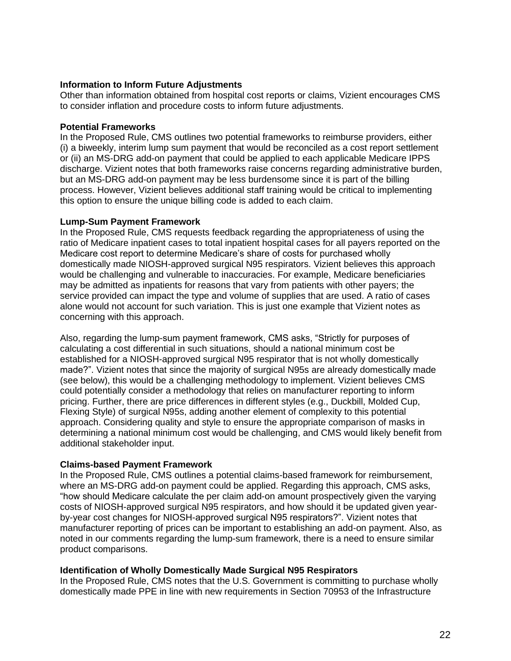# **Information to Inform Future Adjustments**

Other than information obtained from hospital cost reports or claims, Vizient encourages CMS to consider inflation and procedure costs to inform future adjustments.

# **Potential Frameworks**

In the Proposed Rule, CMS outlines two potential frameworks to reimburse providers, either (i) a biweekly, interim lump sum payment that would be reconciled as a cost report settlement or (ii) an MS-DRG add-on payment that could be applied to each applicable Medicare IPPS discharge. Vizient notes that both frameworks raise concerns regarding administrative burden, but an MS-DRG add-on payment may be less burdensome since it is part of the billing process. However, Vizient believes additional staff training would be critical to implementing this option to ensure the unique billing code is added to each claim.

# **Lump-Sum Payment Framework**

In the Proposed Rule, CMS requests feedback regarding the appropriateness of using the ratio of Medicare inpatient cases to total inpatient hospital cases for all payers reported on the Medicare cost report to determine Medicare's share of costs for purchased wholly domestically made NIOSH-approved surgical N95 respirators. Vizient believes this approach would be challenging and vulnerable to inaccuracies. For example, Medicare beneficiaries may be admitted as inpatients for reasons that vary from patients with other payers; the service provided can impact the type and volume of supplies that are used. A ratio of cases alone would not account for such variation. This is just one example that Vizient notes as concerning with this approach.

Also, regarding the lump-sum payment framework, CMS asks, "Strictly for purposes of calculating a cost differential in such situations, should a national minimum cost be established for a NIOSH-approved surgical N95 respirator that is not wholly domestically made?". Vizient notes that since the majority of surgical N95s are already domestically made (see below), this would be a challenging methodology to implement. Vizient believes CMS could potentially consider a methodology that relies on manufacturer reporting to inform pricing. Further, there are price differences in different styles (e.g., Duckbill, Molded Cup, Flexing Style) of surgical N95s, adding another element of complexity to this potential approach. Considering quality and style to ensure the appropriate comparison of masks in determining a national minimum cost would be challenging, and CMS would likely benefit from additional stakeholder input.

# **Claims-based Payment Framework**

In the Proposed Rule, CMS outlines a potential claims-based framework for reimbursement, where an MS-DRG add-on payment could be applied. Regarding this approach, CMS asks, "how should Medicare calculate the per claim add-on amount prospectively given the varying costs of NIOSH-approved surgical N95 respirators, and how should it be updated given yearby-year cost changes for NIOSH-approved surgical N95 respirators?". Vizient notes that manufacturer reporting of prices can be important to establishing an add-on payment. Also, as noted in our comments regarding the lump-sum framework, there is a need to ensure similar product comparisons.

# <span id="page-21-0"></span>**Identification of Wholly Domestically Made Surgical N95 Respirators**

In the Proposed Rule, CMS notes that the U.S. Government is committing to purchase wholly domestically made PPE in line with new requirements in Section 70953 of the Infrastructure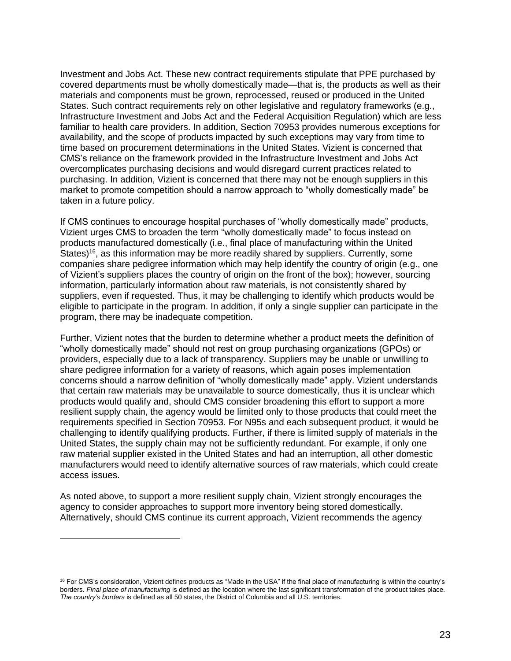Investment and Jobs Act. These new contract requirements stipulate that PPE purchased by covered departments must be wholly domestically made—that is, the products as well as their materials and components must be grown, reprocessed, reused or produced in the United States. Such contract requirements rely on other legislative and regulatory frameworks (e.g., Infrastructure Investment and Jobs Act and the Federal Acquisition Regulation) which are less familiar to health care providers. In addition, Section 70953 provides numerous exceptions for availability, and the scope of products impacted by such exceptions may vary from time to time based on procurement determinations in the United States. Vizient is concerned that CMS's reliance on the framework provided in the Infrastructure Investment and Jobs Act overcomplicates purchasing decisions and would disregard current practices related to purchasing. In addition, Vizient is concerned that there may not be enough suppliers in this market to promote competition should a narrow approach to "wholly domestically made" be taken in a future policy.

If CMS continues to encourage hospital purchases of "wholly domestically made" products, Vizient urges CMS to broaden the term "wholly domestically made" to focus instead on products manufactured domestically (i.e., final place of manufacturing within the United States)<sup>16</sup>, as this information may be more readily shared by suppliers. Currently, some companies share pedigree information which may help identify the country of origin (e.g., one of Vizient's suppliers places the country of origin on the front of the box); however, sourcing information, particularly information about raw materials, is not consistently shared by suppliers, even if requested. Thus, it may be challenging to identify which products would be eligible to participate in the program. In addition, if only a single supplier can participate in the program, there may be inadequate competition.

Further, Vizient notes that the burden to determine whether a product meets the definition of "wholly domestically made" should not rest on group purchasing organizations (GPOs) or providers, especially due to a lack of transparency. Suppliers may be unable or unwilling to share pedigree information for a variety of reasons, which again poses implementation concerns should a narrow definition of "wholly domestically made" apply. Vizient understands that certain raw materials may be unavailable to source domestically, thus it is unclear which products would qualify and, should CMS consider broadening this effort to support a more resilient supply chain, the agency would be limited only to those products that could meet the requirements specified in Section 70953. For N95s and each subsequent product, it would be challenging to identify qualifying products. Further, if there is limited supply of materials in the United States, the supply chain may not be sufficiently redundant. For example, if only one raw material supplier existed in the United States and had an interruption, all other domestic manufacturers would need to identify alternative sources of raw materials, which could create access issues.

As noted above, to support a more resilient supply chain, Vizient strongly encourages the agency to consider approaches to support more inventory being stored domestically. Alternatively, should CMS continue its current approach, Vizient recommends the agency

<sup>&</sup>lt;sup>16</sup> For CMS's consideration, Vizient defines products as "Made in the USA" if the final place of manufacturing is within the country's borders. *Final place of manufacturing* is defined as the location where the last significant transformation of the product takes place. *The country's borders* is defined as all 50 states, the District of Columbia and all U.S. territories.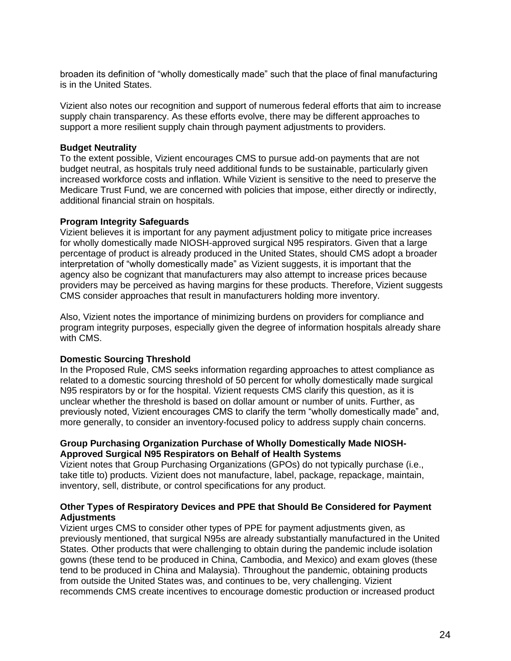broaden its definition of "wholly domestically made" such that the place of final manufacturing is in the United States.

Vizient also notes our recognition and support of numerous federal efforts that aim to increase supply chain transparency. As these efforts evolve, there may be different approaches to support a more resilient supply chain through payment adjustments to providers.

# **Budget Neutrality**

To the extent possible, Vizient encourages CMS to pursue add-on payments that are not budget neutral, as hospitals truly need additional funds to be sustainable, particularly given increased workforce costs and inflation. While Vizient is sensitive to the need to preserve the Medicare Trust Fund, we are concerned with policies that impose, either directly or indirectly, additional financial strain on hospitals.

# **Program Integrity Safeguards**

Vizient believes it is important for any payment adjustment policy to mitigate price increases for wholly domestically made NIOSH-approved surgical N95 respirators. Given that a large percentage of product is already produced in the United States, should CMS adopt a broader interpretation of "wholly domestically made" as Vizient suggests, it is important that the agency also be cognizant that manufacturers may also attempt to increase prices because providers may be perceived as having margins for these products. Therefore, Vizient suggests CMS consider approaches that result in manufacturers holding more inventory.

Also, Vizient notes the importance of minimizing burdens on providers for compliance and program integrity purposes, especially given the degree of information hospitals already share with CMS.

# **Domestic Sourcing Threshold**

In the Proposed Rule, CMS seeks information regarding approaches to attest compliance as related to a domestic sourcing threshold of 50 percent for wholly domestically made surgical N95 respirators by or for the hospital. Vizient requests CMS clarify this question, as it is unclear whether the threshold is based on dollar amount or number of units. Further, as previously noted, Vizient encourages CMS to clarify the term "wholly domestically made" and, more generally, to consider an inventory-focused policy to address supply chain concerns.

# **Group Purchasing Organization Purchase of Wholly Domestically Made NIOSH-Approved Surgical N95 Respirators on Behalf of Health Systems**

Vizient notes that Group Purchasing Organizations (GPOs) do not typically purchase (i.e., take title to) products. Vizient does not manufacture, label, package, repackage, maintain, inventory, sell, distribute, or control specifications for any product.

# **Other Types of Respiratory Devices and PPE that Should Be Considered for Payment Adjustments**

Vizient urges CMS to consider other types of PPE for payment adjustments given, as previously mentioned, that surgical N95s are already substantially manufactured in the United States. Other products that were challenging to obtain during the pandemic include isolation gowns (these tend to be produced in China, Cambodia, and Mexico) and exam gloves (these tend to be produced in China and Malaysia). Throughout the pandemic, obtaining products from outside the United States was, and continues to be, very challenging. Vizient recommends CMS create incentives to encourage domestic production or increased product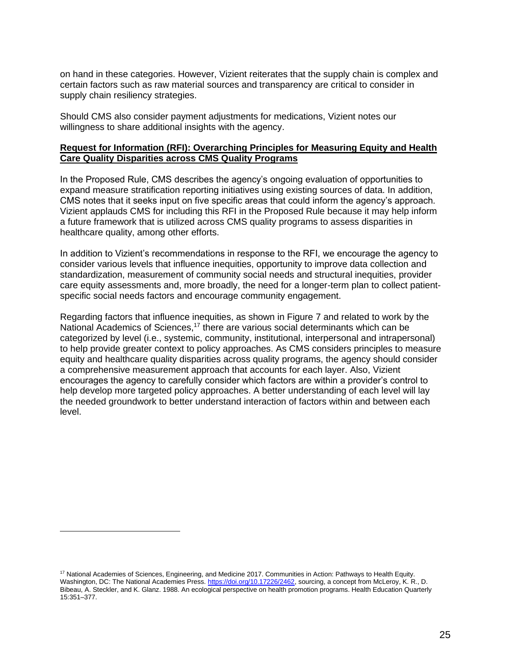on hand in these categories. However, Vizient reiterates that the supply chain is complex and certain factors such as raw material sources and transparency are critical to consider in supply chain resiliency strategies.

Should CMS also consider payment adjustments for medications, Vizient notes our willingness to share additional insights with the agency.

# **Request for Information (RFI): Overarching Principles for Measuring Equity and Health Care Quality Disparities across CMS Quality Programs**

In the Proposed Rule, CMS describes the agency's ongoing evaluation of opportunities to expand measure stratification reporting initiatives using existing sources of data. In addition, CMS notes that it seeks input on five specific areas that could inform the agency's approach. Vizient applauds CMS for including this RFI in the Proposed Rule because it may help inform a future framework that is utilized across CMS quality programs to assess disparities in healthcare quality, among other efforts.

In addition to Vizient's recommendations in response to the RFI, we encourage the agency to consider various levels that influence inequities, opportunity to improve data collection and standardization, measurement of community social needs and structural inequities, provider care equity assessments and, more broadly, the need for a longer-term plan to collect patientspecific social needs factors and encourage community engagement.

Regarding factors that influence inequities, as shown in Figure 7 and related to work by the National Academics of Sciences,<sup>17</sup> there are various social determinants which can be categorized by level (i.e., systemic, community, institutional, interpersonal and intrapersonal) to help provide greater context to policy approaches. As CMS considers principles to measure equity and healthcare quality disparities across quality programs, the agency should consider a comprehensive measurement approach that accounts for each layer. Also, Vizient encourages the agency to carefully consider which factors are within a provider's control to help develop more targeted policy approaches. A better understanding of each level will lay the needed groundwork to better understand interaction of factors within and between each level.

<sup>&</sup>lt;sup>17</sup> National Academies of Sciences, Engineering, and Medicine 2017. Communities in Action: Pathways to Health Equity. Washington, DC: The National Academies Press. [https://doi.org/10.17226/2462,](https://doi.org/10.17226/2462) sourcing, a concept from McLeroy, K. R., D. Bibeau, A. Steckler, and K. Glanz. 1988. An ecological perspective on health promotion programs. Health Education Quarterly 15:351–377.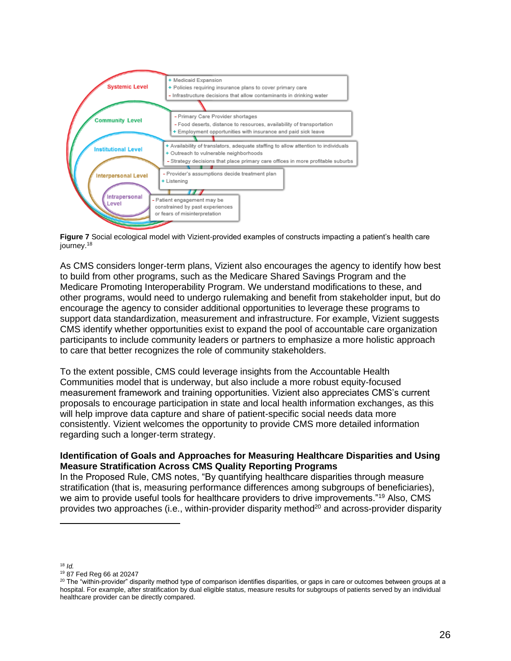

**Figure 7** Social ecological model with Vizient-provided examples of constructs impacting a patient's health care journey.<sup>18</sup>

As CMS considers longer-term plans, Vizient also encourages the agency to identify how best to build from other programs, such as the Medicare Shared Savings Program and the Medicare Promoting Interoperability Program. We understand modifications to these, and other programs, would need to undergo rulemaking and benefit from stakeholder input, but do encourage the agency to consider additional opportunities to leverage these programs to support data standardization, measurement and infrastructure. For example, Vizient suggests CMS identify whether opportunities exist to expand the pool of accountable care organization participants to include community leaders or partners to emphasize a more holistic approach to care that better recognizes the role of community stakeholders.

To the extent possible, CMS could leverage insights from the Accountable Health Communities model that is underway, but also include a more robust equity-focused measurement framework and training opportunities. Vizient also appreciates CMS's current proposals to encourage participation in state and local health information exchanges, as this will help improve data capture and share of patient-specific social needs data more consistently. Vizient welcomes the opportunity to provide CMS more detailed information regarding such a longer-term strategy.

# **Identification of Goals and Approaches for Measuring Healthcare Disparities and Using Measure Stratification Across CMS Quality Reporting Programs**

In the Proposed Rule, CMS notes, "By quantifying healthcare disparities through measure stratification (that is, measuring performance differences among subgroups of beneficiaries), we aim to provide useful tools for healthcare providers to drive improvements."<sup>19</sup> Also, CMS provides two approaches (i.e., within-provider disparity method<sup>20</sup> and across-provider disparity

<sup>18</sup> *Id.*

<sup>19</sup> 87 Fed Reg 66 at 20247

 $20$  The "within-provider" disparity method type of comparison identifies disparities, or gaps in care or outcomes between groups at a hospital. For example, after stratification by dual eligible status, measure results for subgroups of patients served by an individual healthcare provider can be directly compared.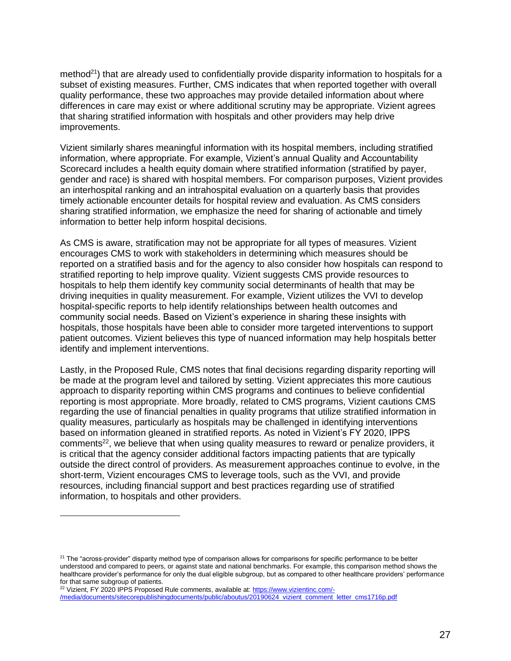method<sup>21</sup>) that are already used to confidentially provide disparity information to hospitals for a subset of existing measures. Further, CMS indicates that when reported together with overall quality performance, these two approaches may provide detailed information about where differences in care may exist or where additional scrutiny may be appropriate. Vizient agrees that sharing stratified information with hospitals and other providers may help drive improvements.

Vizient similarly shares meaningful information with its hospital members, including stratified information, where appropriate. For example, Vizient's annual Quality and Accountability Scorecard includes a health equity domain where stratified information (stratified by payer, gender and race) is shared with hospital members. For comparison purposes, Vizient provides an interhospital ranking and an intrahospital evaluation on a quarterly basis that provides timely actionable encounter details for hospital review and evaluation. As CMS considers sharing stratified information, we emphasize the need for sharing of actionable and timely information to better help inform hospital decisions.

As CMS is aware, stratification may not be appropriate for all types of measures. Vizient encourages CMS to work with stakeholders in determining which measures should be reported on a stratified basis and for the agency to also consider how hospitals can respond to stratified reporting to help improve quality. Vizient suggests CMS provide resources to hospitals to help them identify key community social determinants of health that may be driving inequities in quality measurement. For example, Vizient utilizes the VVI to develop hospital-specific reports to help identify relationships between health outcomes and community social needs. Based on Vizient's experience in sharing these insights with hospitals, those hospitals have been able to consider more targeted interventions to support patient outcomes. Vizient believes this type of nuanced information may help hospitals better identify and implement interventions.

Lastly, in the Proposed Rule, CMS notes that final decisions regarding disparity reporting will be made at the program level and tailored by setting. Vizient appreciates this more cautious approach to disparity reporting within CMS programs and continues to believe confidential reporting is most appropriate. More broadly, related to CMS programs, Vizient cautions CMS regarding the use of financial penalties in quality programs that utilize stratified information in quality measures, particularly as hospitals may be challenged in identifying interventions based on information gleaned in stratified reports. As noted in Vizient's FY 2020, IPPS comments<sup>22</sup>, we believe that when using quality measures to reward or penalize providers, it is critical that the agency consider additional factors impacting patients that are typically outside the direct control of providers. As measurement approaches continue to evolve, in the short-term, Vizient encourages CMS to leverage tools, such as the VVI, and provide resources, including financial support and best practices regarding use of stratified information, to hospitals and other providers.

<sup>&</sup>lt;sup>21</sup> The "across-provider" disparity method type of comparison allows for comparisons for specific performance to be better understood and compared to peers, or against state and national benchmarks. For example, this comparison method shows the healthcare provider's performance for only the dual eligible subgroup, but as compared to other healthcare providers' performance for that same subgroup of patients.

<sup>&</sup>lt;sup>22</sup> Vizient, FY 2020 IPPS Proposed Rule comments, available at[: https://www.vizientinc.com/-](https://www.vizientinc.com/-/media/documents/sitecorepublishingdocuments/public/aboutus/20190624_vizient_comment_letter_cms1716p.pdf) [/media/documents/sitecorepublishingdocuments/public/aboutus/20190624\\_vizient\\_comment\\_letter\\_cms1716p.pdf](https://www.vizientinc.com/-/media/documents/sitecorepublishingdocuments/public/aboutus/20190624_vizient_comment_letter_cms1716p.pdf)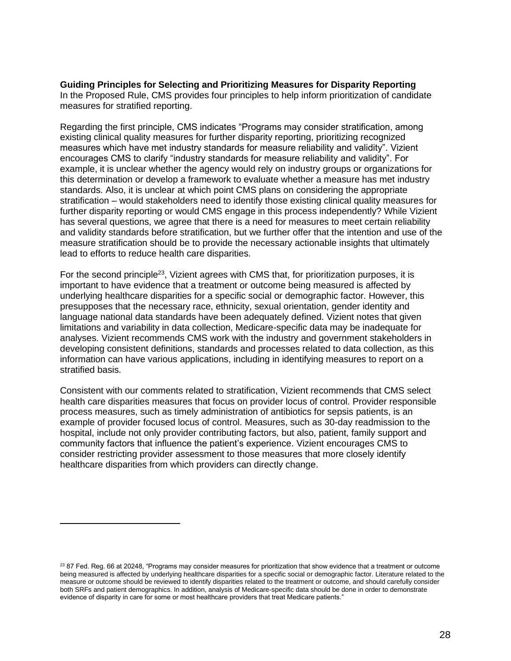**Guiding Principles for Selecting and Prioritizing Measures for Disparity Reporting** In the Proposed Rule, CMS provides four principles to help inform prioritization of candidate measures for stratified reporting.

Regarding the first principle, CMS indicates "Programs may consider stratification, among existing clinical quality measures for further disparity reporting, prioritizing recognized measures which have met industry standards for measure reliability and validity". Vizient encourages CMS to clarify "industry standards for measure reliability and validity". For example, it is unclear whether the agency would rely on industry groups or organizations for this determination or develop a framework to evaluate whether a measure has met industry standards. Also, it is unclear at which point CMS plans on considering the appropriate stratification – would stakeholders need to identify those existing clinical quality measures for further disparity reporting or would CMS engage in this process independently? While Vizient has several questions, we agree that there is a need for measures to meet certain reliability and validity standards before stratification, but we further offer that the intention and use of the measure stratification should be to provide the necessary actionable insights that ultimately lead to efforts to reduce health care disparities.

For the second principle<sup>23</sup>, Vizient agrees with CMS that, for prioritization purposes, it is important to have evidence that a treatment or outcome being measured is affected by underlying healthcare disparities for a specific social or demographic factor. However, this presupposes that the necessary race, ethnicity, sexual orientation, gender identity and language national data standards have been adequately defined. Vizient notes that given limitations and variability in data collection, Medicare-specific data may be inadequate for analyses. Vizient recommends CMS work with the industry and government stakeholders in developing consistent definitions, standards and processes related to data collection, as this information can have various applications, including in identifying measures to report on a stratified basis.

Consistent with our comments related to stratification, Vizient recommends that CMS select health care disparities measures that focus on provider locus of control. Provider responsible process measures, such as timely administration of antibiotics for sepsis patients, is an example of provider focused locus of control. Measures, such as 30-day readmission to the hospital, include not only provider contributing factors, but also, patient, family support and community factors that influence the patient's experience. Vizient encourages CMS to consider restricting provider assessment to those measures that more closely identify healthcare disparities from which providers can directly change.

<sup>&</sup>lt;sup>23</sup> 87 Fed. Reg. 66 at 20248, "Programs may consider measures for prioritization that show evidence that a treatment or outcome being measured is affected by underlying healthcare disparities for a specific social or demographic factor. Literature related to the measure or outcome should be reviewed to identify disparities related to the treatment or outcome, and should carefully consider both SRFs and patient demographics. In addition, analysis of Medicare-specific data should be done in order to demonstrate evidence of disparity in care for some or most healthcare providers that treat Medicare patients."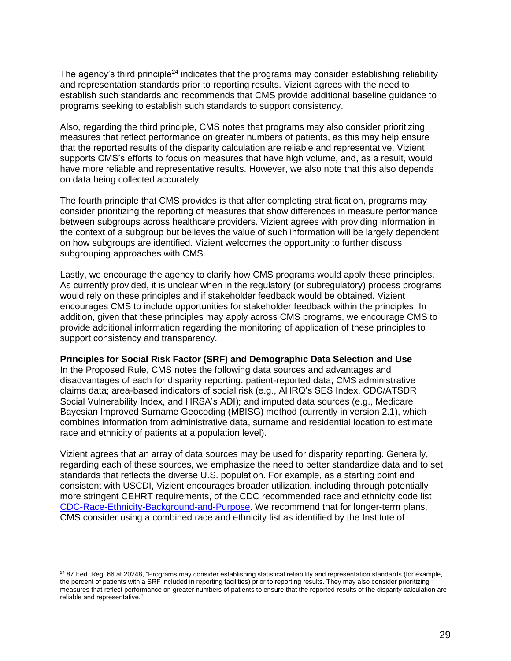The agency's third principle<sup>24</sup> indicates that the programs may consider establishing reliability and representation standards prior to reporting results. Vizient agrees with the need to establish such standards and recommends that CMS provide additional baseline guidance to programs seeking to establish such standards to support consistency.

Also, regarding the third principle, CMS notes that programs may also consider prioritizing measures that reflect performance on greater numbers of patients, as this may help ensure that the reported results of the disparity calculation are reliable and representative. Vizient supports CMS's efforts to focus on measures that have high volume, and, as a result, would have more reliable and representative results. However, we also note that this also depends on data being collected accurately.

The fourth principle that CMS provides is that after completing stratification, programs may consider prioritizing the reporting of measures that show differences in measure performance between subgroups across healthcare providers. Vizient agrees with providing information in the context of a subgroup but believes the value of such information will be largely dependent on how subgroups are identified. Vizient welcomes the opportunity to further discuss subgrouping approaches with CMS.

Lastly, we encourage the agency to clarify how CMS programs would apply these principles. As currently provided, it is unclear when in the regulatory (or subregulatory) process programs would rely on these principles and if stakeholder feedback would be obtained. Vizient encourages CMS to include opportunities for stakeholder feedback within the principles. In addition, given that these principles may apply across CMS programs, we encourage CMS to provide additional information regarding the monitoring of application of these principles to support consistency and transparency.

#### **Principles for Social Risk Factor (SRF) and Demographic Data Selection and Use**

In the Proposed Rule, CMS notes the following data sources and advantages and disadvantages of each for disparity reporting: patient-reported data; CMS administrative claims data; area-based indicators of social risk (e.g., AHRQ's SES Index, CDC/ATSDR Social Vulnerability Index, and HRSA's ADI); and imputed data sources (e.g., Medicare Bayesian Improved Surname Geocoding (MBISG) method (currently in version 2.1), which combines information from administrative data, surname and residential location to estimate race and ethnicity of patients at a population level).

Vizient agrees that an array of data sources may be used for disparity reporting. Generally, regarding each of these sources, we emphasize the need to better standardize data and to set standards that reflects the diverse U.S. population. For example, as a starting point and consistent with USCDI, Vizient encourages broader utilization, including through potentially more stringent CEHRT requirements, of the CDC recommended race and ethnicity code list [CDC-Race-Ethnicity-Background-and-Purpose.](https://www.cdc.gov/phin/resources/vocabulary/documents/CDC-Race-Ethnicity-Background-and-Purpose.pdf) We recommend that for longer-term plans, CMS consider using a combined race and ethnicity list as identified by the Institute of

<sup>&</sup>lt;sup>24</sup> 87 Fed. Reg. 66 at 20248, "Programs may consider establishing statistical reliability and representation standards (for example, the percent of patients with a SRF included in reporting facilities) prior to reporting results. They may also consider prioritizing measures that reflect performance on greater numbers of patients to ensure that the reported results of the disparity calculation are reliable and representative."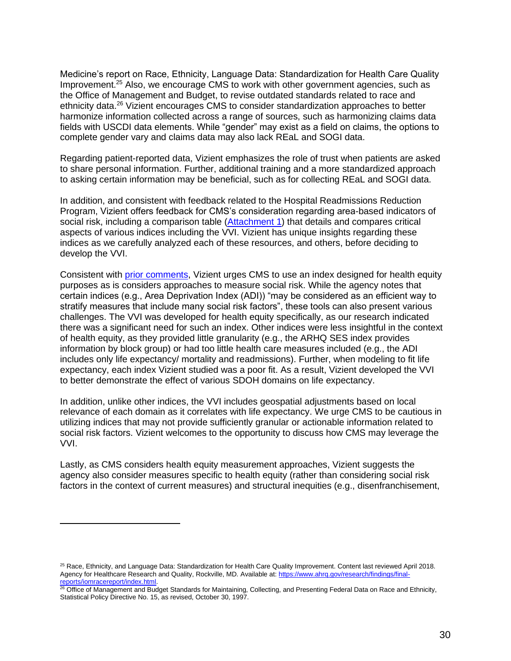Medicine's report on Race, Ethnicity, Language Data: Standardization for Health Care Quality Improvement.<sup>25</sup> Also, we encourage CMS to work with other government agencies, such as the Office of Management and Budget, to revise outdated standards related to race and ethnicity data.<sup>26</sup> Vizient encourages CMS to consider standardization approaches to better harmonize information collected across a range of sources, such as harmonizing claims data fields with USCDI data elements. While "gender" may exist as a field on claims, the options to complete gender vary and claims data may also lack REaL and SOGI data.

Regarding patient-reported data, Vizient emphasizes the role of trust when patients are asked to share personal information. Further, additional training and a more standardized approach to asking certain information may be beneficial, such as for collecting REaL and SOGI data.

In addition, and consistent with feedback related to the Hospital Readmissions Reduction Program, Vizient offers feedback for CMS's consideration regarding area-based indicators of social risk, including a comparison table [\(Attachment](#page-33-0) 1) that details and compares critical aspects of various indices including the VVI. Vizient has unique insights regarding these indices as we carefully analyzed each of these resources, and others, before deciding to develop the VVI.

Consistent with [prior comments,](https://www.vizientinc.com/-/media/documents/sitecorepublishingdocuments/public/aboutus/20220304_cms_medicare_advantage_equity_comments.pdf) Vizient urges CMS to use an index designed for health equity purposes as is considers approaches to measure social risk. While the agency notes that certain indices (e.g., Area Deprivation Index (ADI)) "may be considered as an efficient way to stratify measures that include many social risk factors", these tools can also present various challenges. The VVI was developed for health equity specifically, as our research indicated there was a significant need for such an index. Other indices were less insightful in the context of health equity, as they provided little granularity (e.g., the ARHQ SES index provides information by block group) or had too little health care measures included (e.g., the ADI includes only life expectancy/ mortality and readmissions). Further, when modeling to fit life expectancy, each index Vizient studied was a poor fit. As a result, Vizient developed the VVI to better demonstrate the effect of various SDOH domains on life expectancy.

In addition, unlike other indices, the VVI includes geospatial adjustments based on local relevance of each domain as it correlates with life expectancy. We urge CMS to be cautious in utilizing indices that may not provide sufficiently granular or actionable information related to social risk factors. Vizient welcomes to the opportunity to discuss how CMS may leverage the VVI.

Lastly, as CMS considers health equity measurement approaches, Vizient suggests the agency also consider measures specific to health equity (rather than considering social risk factors in the context of current measures) and structural inequities (e.g., disenfranchisement,

<sup>&</sup>lt;sup>25</sup> Race, Ethnicity, and Language Data: Standardization for Health Care Quality Improvement. Content last reviewed April 2018. Agency for Healthcare Research and Quality, Rockville, MD. Available at: [https://www.ahrq.gov/research/findings/final](https://www.ahrq.gov/research/findings/final-reports/iomracereport/index.html)[reports/iomracereport/index.html.](https://www.ahrq.gov/research/findings/final-reports/iomracereport/index.html)

<sup>&</sup>lt;sup>26</sup> Office of Management and Budget Standards for Maintaining, Collecting, and Presenting Federal Data on Race and Ethnicity, Statistical Policy Directive No. 15, as revised, October 30, 1997.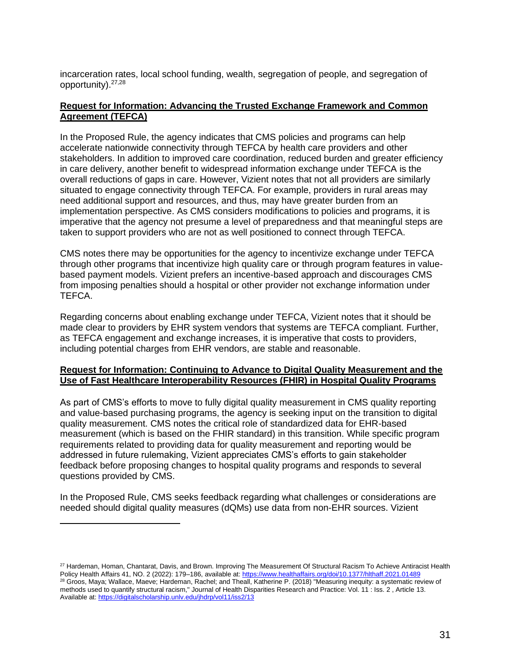incarceration rates, local school funding, wealth, segregation of people, and segregation of opportunity).27,28

# **Request for Information: Advancing the Trusted Exchange Framework and Common Agreement (TEFCA)**

In the Proposed Rule, the agency indicates that CMS policies and programs can help accelerate nationwide connectivity through TEFCA by health care providers and other stakeholders. In addition to improved care coordination, reduced burden and greater efficiency in care delivery, another benefit to widespread information exchange under TEFCA is the overall reductions of gaps in care. However, Vizient notes that not all providers are similarly situated to engage connectivity through TEFCA. For example, providers in rural areas may need additional support and resources, and thus, may have greater burden from an implementation perspective. As CMS considers modifications to policies and programs, it is imperative that the agency not presume a level of preparedness and that meaningful steps are taken to support providers who are not as well positioned to connect through TEFCA.

CMS notes there may be opportunities for the agency to incentivize exchange under TEFCA through other programs that incentivize high quality care or through program features in valuebased payment models. Vizient prefers an incentive-based approach and discourages CMS from imposing penalties should a hospital or other provider not exchange information under TEFCA.

Regarding concerns about enabling exchange under TEFCA, Vizient notes that it should be made clear to providers by EHR system vendors that systems are TEFCA compliant. Further, as TEFCA engagement and exchange increases, it is imperative that costs to providers, including potential charges from EHR vendors, are stable and reasonable.

# **Request for Information: Continuing to Advance to Digital Quality Measurement and the Use of Fast Healthcare Interoperability Resources (FHIR) in Hospital Quality Programs**

As part of CMS's efforts to move to fully digital quality measurement in CMS quality reporting and value-based purchasing programs, the agency is seeking input on the transition to digital quality measurement. CMS notes the critical role of standardized data for EHR-based measurement (which is based on the FHIR standard) in this transition. While specific program requirements related to providing data for quality measurement and reporting would be addressed in future rulemaking, Vizient appreciates CMS's efforts to gain stakeholder feedback before proposing changes to hospital quality programs and responds to several questions provided by CMS.

In the Proposed Rule, CMS seeks feedback regarding what challenges or considerations are needed should digital quality measures (dQMs) use data from non-EHR sources. Vizient

<sup>&</sup>lt;sup>27</sup> Hardeman, Homan, Chantarat, Davis, and Brown. Improving The Measurement Of Structural Racism To Achieve Antiracist Health Policy Health Affairs 41, NO. 2 (2022): 179-186, available at[: https://www.healthaffairs.org/doi/10.1377/hlthaff.2021.01489](https://www.healthaffairs.org/doi/10.1377/hlthaff.2021.01489) <sup>28</sup> Groos, Maya; Wallace, Maeve; Hardeman, Rachel; and Theall, Katherine P. (2018) "Measuring inequity: a systematic review of methods used to quantify structural racism," Journal of Health Disparities Research and Practice: Vol. 11 : Iss. 2 , Article 13. Available at:<https://digitalscholarship.unlv.edu/jhdrp/vol11/iss2/13>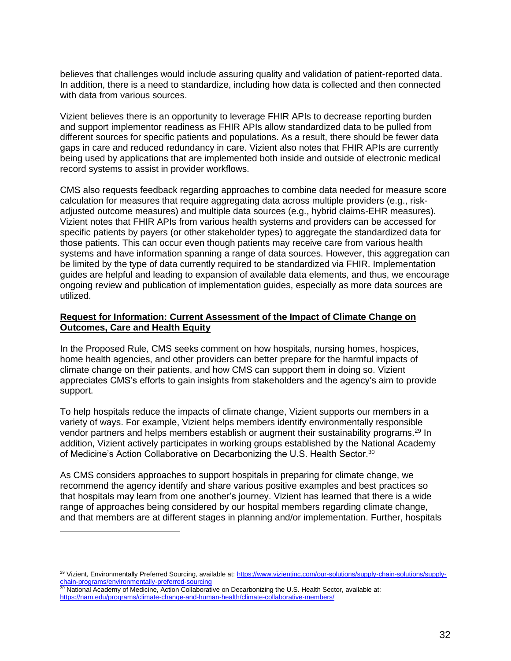believes that challenges would include assuring quality and validation of patient-reported data. In addition, there is a need to standardize, including how data is collected and then connected with data from various sources.

Vizient believes there is an opportunity to leverage FHIR APIs to decrease reporting burden and support implementor readiness as FHIR APIs allow standardized data to be pulled from different sources for specific patients and populations. As a result, there should be fewer data gaps in care and reduced redundancy in care. Vizient also notes that FHIR APIs are currently being used by applications that are implemented both inside and outside of electronic medical record systems to assist in provider workflows.

CMS also requests feedback regarding approaches to combine data needed for measure score calculation for measures that require aggregating data across multiple providers (e.g., riskadjusted outcome measures) and multiple data sources (e.g., hybrid claims-EHR measures). Vizient notes that FHIR APIs from various health systems and providers can be accessed for specific patients by payers (or other stakeholder types) to aggregate the standardized data for those patients. This can occur even though patients may receive care from various health systems and have information spanning a range of data sources. However, this aggregation can be limited by the type of data currently required to be standardized via FHIR. Implementation guides are helpful and leading to expansion of available data elements, and thus, we encourage ongoing review and publication of implementation guides, especially as more data sources are utilized.

# **Request for Information: Current Assessment of the Impact of Climate Change on Outcomes, Care and Health Equity**

In the Proposed Rule, CMS seeks comment on how hospitals, nursing homes, hospices, home health agencies, and other providers can better prepare for the harmful impacts of climate change on their patients, and how CMS can support them in doing so. Vizient appreciates CMS's efforts to gain insights from stakeholders and the agency's aim to provide support.

To help hospitals reduce the impacts of climate change, Vizient supports our members in a variety of ways. For example, Vizient helps members identify environmentally responsible vendor partners and helps members establish or augment their sustainability programs.<sup>29</sup> In addition, Vizient actively participates in working groups established by the National Academy of Medicine's Action Collaborative on Decarbonizing the U.S. Health Sector.<sup>30</sup>

As CMS considers approaches to support hospitals in preparing for climate change, we recommend the agency identify and share various positive examples and best practices so that hospitals may learn from one another's journey. Vizient has learned that there is a wide range of approaches being considered by our hospital members regarding climate change, and that members are at different stages in planning and/or implementation. Further, hospitals

<sup>&</sup>lt;sup>29</sup> Vizient, Environmentally Preferred Sourcing, available at: [https://www.vizientinc.com/our-solutions/supply-chain-solutions/supply](https://www.vizientinc.com/our-solutions/supply-chain-solutions/supply-chain-programs/environmentally-preferred-sourcing)[chain-programs/environmentally-preferred-sourcing](https://www.vizientinc.com/our-solutions/supply-chain-solutions/supply-chain-programs/environmentally-preferred-sourcing)

<sup>30</sup> National Academy of Medicine, Action Collaborative on Decarbonizing the U.S. Health Sector, available at: <https://nam.edu/programs/climate-change-and-human-health/climate-collaborative-members/>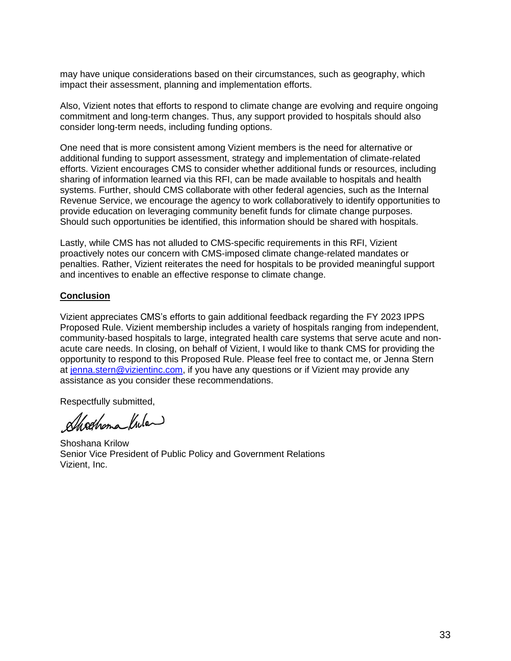may have unique considerations based on their circumstances, such as geography, which impact their assessment, planning and implementation efforts.

Also, Vizient notes that efforts to respond to climate change are evolving and require ongoing commitment and long-term changes. Thus, any support provided to hospitals should also consider long-term needs, including funding options.

One need that is more consistent among Vizient members is the need for alternative or additional funding to support assessment, strategy and implementation of climate-related efforts. Vizient encourages CMS to consider whether additional funds or resources, including sharing of information learned via this RFI, can be made available to hospitals and health systems. Further, should CMS collaborate with other federal agencies, such as the Internal Revenue Service, we encourage the agency to work collaboratively to identify opportunities to provide education on leveraging community benefit funds for climate change purposes. Should such opportunities be identified, this information should be shared with hospitals.

Lastly, while CMS has not alluded to CMS-specific requirements in this RFI, Vizient proactively notes our concern with CMS-imposed climate change-related mandates or penalties. Rather, Vizient reiterates the need for hospitals to be provided meaningful support and incentives to enable an effective response to climate change.

# **Conclusion**

Vizient appreciates CMS's efforts to gain additional feedback regarding the FY 2023 IPPS Proposed Rule. Vizient membership includes a variety of hospitals ranging from independent, community-based hospitals to large, integrated health care systems that serve acute and nonacute care needs. In closing, on behalf of Vizient, I would like to thank CMS for providing the opportunity to respond to this Proposed Rule. Please feel free to contact me, or Jenna Stern at [jenna.stern@vizientinc.com,](mailto:jenna.stern@vizientinc.com) if you have any questions or if Vizient may provide any assistance as you consider these recommendations.

Respectfully submitted,

alleghama lula

Shoshana Krilow Senior Vice President of Public Policy and Government Relations Vizient, Inc.